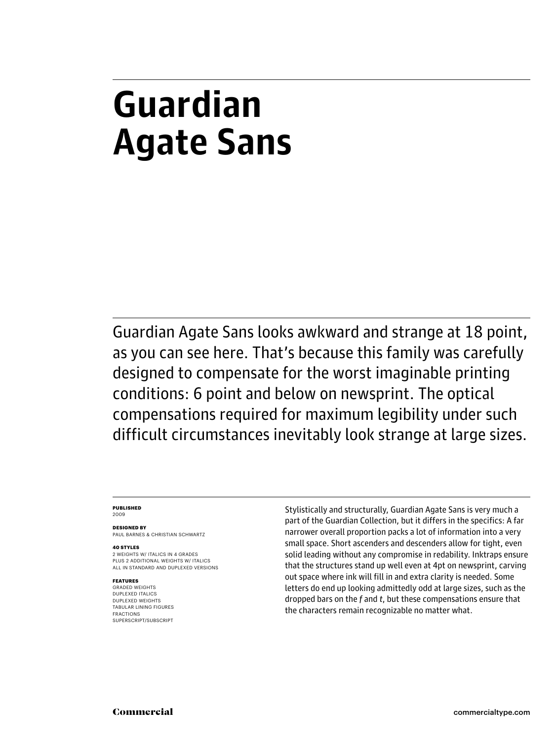# **Guardian Agate Sans**

Guardian Agate Sans looks awkward and strange at 18 point, as you can see here. That's because this family was carefully designed to compensate for the worst imaginable printing conditions: 6 point and below on newsprint. The optical compensations required for maximum legibility under such difficult circumstances inevitably look strange at large sizes.

## **PUBLISHED**

2009

**DESIGNED BY** PAUL BARNES & CHRISTIAN SCHWARTZ

## **40 STYLES**

2 WEIGHTS W/ ITALICS IN 4 GRADES PLUS 2 ADDITIONAL WEIGHTS W/ ITALICS ALL IN STANDARD AND DUPLEXED VERSIONS

## **FEATURES**

GRADED WEIGHTS DUPLEXED ITALICS DUPLEXED WEIGHTS TABULAR LINING FIGURES FRACTIONS SUPERSCRIPT/SUBSCRIPT

Stylistically and structurally, Guardian Agate Sans is very much a part of the Guardian Collection, but it differs in the specifics: A far narrower overall proportion packs a lot of information into a very small space. Short ascenders and descenders allow for tight, even solid leading without any compromise in redability. Inktraps ensure that the structures stand up well even at 4pt on newsprint, carving out space where ink will fill in and extra clarity is needed. Some letters do end up looking admittedly odd at large sizes, such as the dropped bars on the  $f$  and  $t$ , but these compensations ensure that the characters remain recognizable no matter what.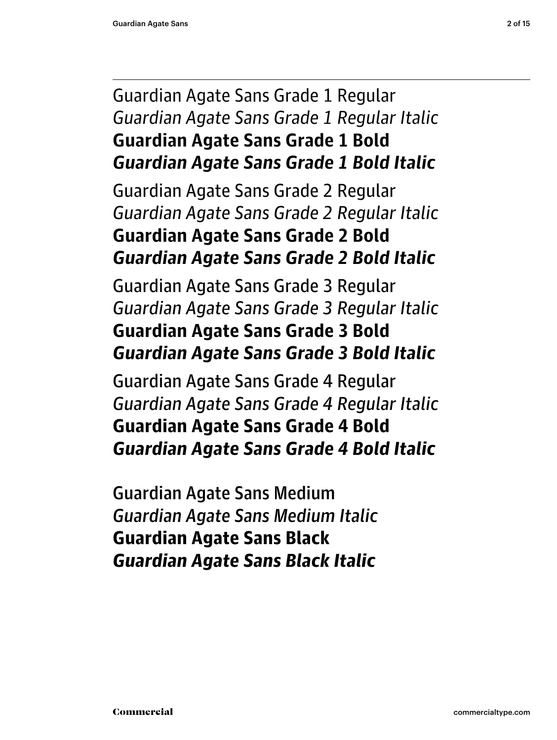## Guardian Agate Sans Grade 1 Regular Guardian Agate Sans Grade 1 Regular Italic **Guardian Agate Sans Grade 1 Bold** *Guardian Agate Sans Grade 1 Bold Italic*

Guardian Agate Sans Grade 2 Regular Guardian Agate Sans Grade 2 Regular Italic **Guardian Agate Sans Grade 2 Bold** *Guardian Agate Sans Grade 2 Bold Italic*

Guardian Agate Sans Grade 3 Regular Guardian Agate Sans Grade 3 Regular Italic **Guardian Agate Sans Grade 3 Bold** *Guardian Agate Sans Grade 3 Bold Italic*

Guardian Agate Sans Grade 4 Regular Guardian Agate Sans Grade 4 Regular Italic **Guardian Agate Sans Grade 4 Bold** *Guardian Agate Sans Grade 4 Bold Italic*

Guardian Agate Sans Medium Guardian Agate Sans Medium Italic **Guardian Agate Sans Black** *Guardian Agate Sans Black Italic*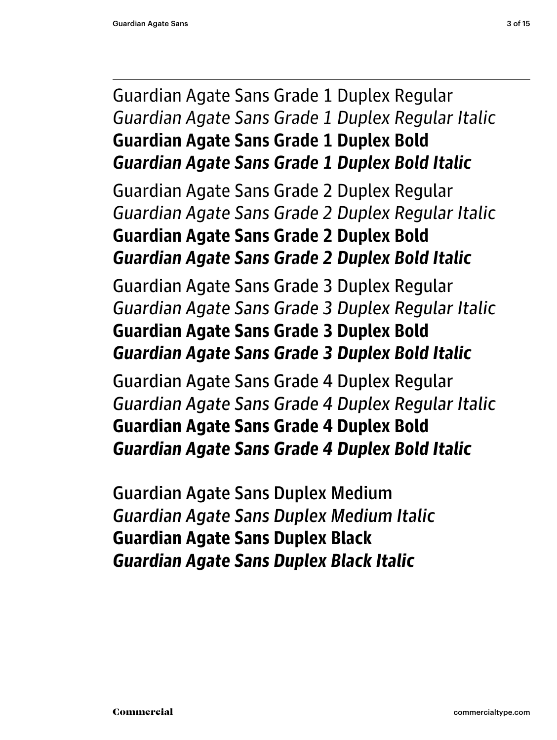## Guardian Agate Sans Grade 1 Duplex Regular Guardian Agate Sans Grade 1 Duplex Regular Italic **Guardian Agate Sans Grade 1 Duplex Bold** *Guardian Agate Sans Grade 1 Duplex Bold Italic*

Guardian Agate Sans Grade 2 Duplex Regular *Guardian Agate Sans Grade 2 Duplex Regular Italic* **Guardian Agate Sans Grade 2 Duplex Bold** *Guardian Agate Sans Grade 2 Duplex Bold Italic*

Guardian Agate Sans Grade 3 Duplex Regular *Guardian Agate Sans Grade 3 Duplex Regular Italic* **Guardian Agate Sans Grade 3 Duplex Bold** *Guardian Agate Sans Grade 3 Duplex Bold Italic*

Guardian Agate Sans Grade 4 Duplex Regular *Guardian Agate Sans Grade 4 Duplex Regular Italic* **Guardian Agate Sans Grade 4 Duplex Bold** *Guardian Agate Sans Grade 4 Duplex Bold Italic*

Guardian Agate Sans Duplex Medium *Guardian Agate Sans Duplex Medium Italic* **Guardian Agate Sans Duplex Black** *Guardian Agate Sans Duplex Black Italic*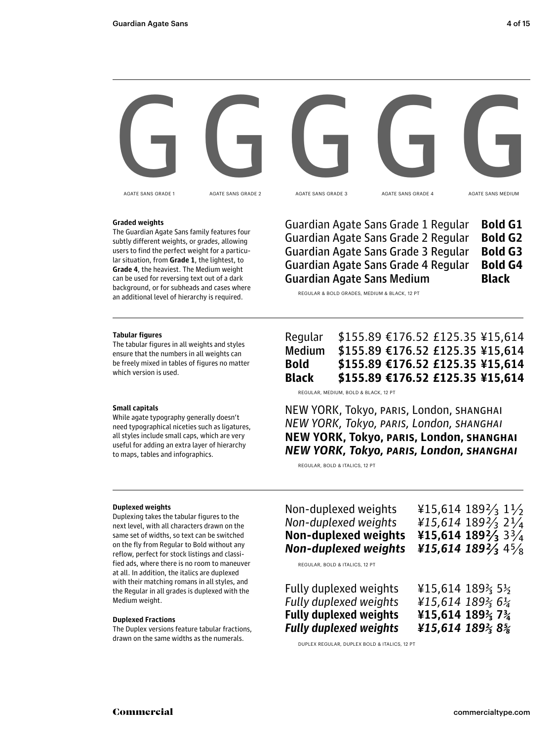

AGATE SANS GRADE 1

AGATE SANS GRADE 2

AGATE SANS GRADE 3

AGATE SANS GRADE 4

AGATE SANS MEDIUM

## **Graded weights**

The Guardian Agate Sans family features four subtly different weights, or grades, allowing users to find the perfect weight for a particular situation, from **Grade 1**, the lightest, to **Grade 4**, the heaviest. The Medium weight can be used for reversing text out of a dark background, or for subheads and cases where an additional level of hierarchy is required.

## Guardian Agate Sans Grade 1 Regular **Bold G1** Guardian Agate Sans Grade 2 Regular **Bold G2** Guardian Agate Sans Grade 3 Regular **Bold G3** Guardian Agate Sans Grade 4 Regular **Bold G4** Guardian Agate Sans Medium **Black**

REGULAR & BOLD GRADES, MEDIUM & BLACK, 12 PT

## **Tabular figures**

The tabular figures in all weights and styles ensure that the numbers in all weights can be freely mixed in tables of figures no matter which version is used.

## **Small capitals**

While agate typography generally doesn't need typographical niceties such as ligatures, all styles include small caps, which are very useful for adding an extra layer of hierarchy to maps, tables and infographics.

## Regular \$155.89 €176.52 £125.35 ¥15,614 Medium \$155.89 €176.52 £125.35 ¥15,614 **Bold \$155.89 €176.52 £125.35 ¥15,614 Black \$155.89 €176.52 £125.35 ¥15,614**

REGULAR, MEDIUM, BOLD & BLACK, 12 PT

NEW YORK, Tokyo, PARIS, London, SHANGHAI NEW YORK, Tokyo, PARIS, London, SHANGHAI **NEW YORK, Tokyo, PARIS, London, SHANGHAI** *NEW YORK, Tokyo, PARIS, London, SHANGHAI*

REGULAR, BOLD & ITALICS, 12 PT

## **Duplexed weights**

Duplexing takes the tabular figures to the next level, with all characters drawn on the same set of widths, so text can be switched on the fly from Regular to Bold without any reflow, perfect for stock listings and classified ads, where there is no room to maneuver at all. In addition, the italics are duplexed with their matching romans in all styles, and the Regular in all grades is duplexed with the Medium weight.

## **Duplexed Fractions**

The Duplex versions feature tabular fractions, drawn on the same widths as the numerals.

Non-duplexed weights  $\frac{15,614}{189\frac{1}{3}1\frac{1}{2}}$ Non-duplexed weights  $\frac{15,614}{189\frac{2}{3}2\frac{1}{4}}$ **Non-duplexed weights ¥15,614 189 2⁄3** 3 3⁄4 *Non-duplexed weights ¥15,614 189 2⁄3* 4 5⁄8 Fully duplexed weights ¥15,614 189 ⅔ 5 ½ Fully duplexed weights  $\frac{1}{2}$  415,614 189 $\frac{2}{3}$  6 $\frac{1}{4}$ **Fully duplexed weights ¥15,614 189 ⅔ 7 ¾**  *Fully duplexed weights ¥15,614 189 ⅔ 8 ⅝*  REGULAR, BOLD & ITALICS, 12 PT

DUPLEX REGULAR, DUPLEX BOLD & ITALICS, 12 PT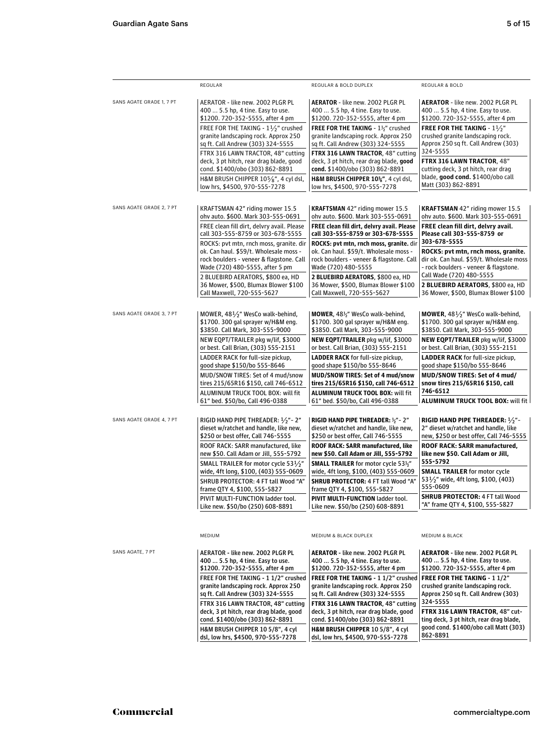|                          | REGULAR                                                                                                          | REGULAR & BOLD DUPLEX                                                                                            | <b>REGULAR &amp; BOLD</b>                                                                                                       |  |  |
|--------------------------|------------------------------------------------------------------------------------------------------------------|------------------------------------------------------------------------------------------------------------------|---------------------------------------------------------------------------------------------------------------------------------|--|--|
| SANS AGATE GRADE 1, 7 PT | AERATOR - like new. 2002 PLGR PL                                                                                 | <b>AERATOR</b> - like new. 2002 PLGR PL                                                                          | <b>AERATOR</b> - like new. 2002 PLGR PL                                                                                         |  |  |
|                          | 400  5.5 hp, 4 tine. Easy to use.                                                                                | 400  5.5 hp, 4 tine. Easy to use.                                                                                | 400  5.5 hp, 4 tine. Easy to use.                                                                                               |  |  |
|                          | \$1200. 720-352-5555, after 4 pm                                                                                 | \$1200.720-352-5555, after 4 pm                                                                                  | \$1200.720-352-5555, after 4 pm                                                                                                 |  |  |
|                          | FREE FOR THE TAKING - 11/2" crushed                                                                              | FREE FOR THE TAKING - 1½" crushed                                                                                | FREE FOR THE TAKING - 11/3"                                                                                                     |  |  |
|                          | granite landscaping rock. Approx 250                                                                             | granite landscaping rock. Approx 250                                                                             | crushed granite landscaping rock.                                                                                               |  |  |
|                          | sq ft. Call Andrew (303) 324-5555                                                                                | sq ft. Call Andrew (303) 324-5555                                                                                | Approx 250 sq ft. Call Andrew (303)                                                                                             |  |  |
|                          | FTRX 316 LAWN TRACTOR, 48" cutting                                                                               | FTRX 316 LAWN TRACTOR, 48" cutting                                                                               | 324-5555                                                                                                                        |  |  |
|                          | deck, 3 pt hitch, rear drag blade, good                                                                          | deck, 3 pt hitch, rear drag blade, good                                                                          | FTRX 316 LAWN TRACTOR, 48"                                                                                                      |  |  |
|                          | cond. \$1400/obo (303) 862-8891                                                                                  | cond. \$1400/obo (303) 862-8891                                                                                  | cutting deck, 3 pt hitch, rear drag                                                                                             |  |  |
|                          | H&M BRUSH CHIPPER 105%", 4 cyl dsl,                                                                              | H&M BRUSH CHIPPER 10%", 4 cyl dsl,                                                                               | blade, good cond. \$1400/obo call                                                                                               |  |  |
|                          | low hrs, \$4500, 970-555-7278                                                                                    | low hrs, \$4500, 970-555-7278                                                                                    | Matt (303) 862-8891                                                                                                             |  |  |
| SANS AGATE GRADE 2, 7 PT | KRAFTSMAN 42" riding mower 15.5                                                                                  | <b>KRAFTSMAN 42" riding mower 15.5</b>                                                                           | <b>KRAFTSMAN 42" riding mower 15.5</b>                                                                                          |  |  |
|                          | ohv auto. \$600. Mark 303-555-0691                                                                               | ohv auto. \$600. Mark 303-555-0691                                                                               | ohv auto. \$600. Mark 303-555-0691                                                                                              |  |  |
|                          | FREE clean fill dirt, delvry avail. Please                                                                       | FREE clean fill dirt, delvry avail. Please                                                                       | FREE clean fill dirt, delvry avail.                                                                                             |  |  |
|                          | call 303-555-8759 or 303-678-5555                                                                                | call 303-555-8759 or 303-678-5555                                                                                | Please call 303-555-8759 or                                                                                                     |  |  |
|                          | ROCKS: pvt mtn, rnch moss, granite. dir                                                                          | ROCKS: pvt mtn, rnch moss, granite. dir                                                                          | 303-678-5555                                                                                                                    |  |  |
|                          | ok. Can haul. \$59/t. Wholesale moss -                                                                           | ok. Can haul. \$59/t. Wholesale moss -                                                                           | ROCKS: pvt mtn, rnch moss, granite.                                                                                             |  |  |
|                          | rock boulders - veneer & flagstone. Call                                                                         | rock boulders - veneer & flagstone. Call                                                                         | dir ok. Can haul. \$59/t. Wholesale moss                                                                                        |  |  |
|                          | Wade (720) 480-5555, after 5 pm                                                                                  | Wade (720) 480-5555                                                                                              | - rock boulders - veneer & flagstone.                                                                                           |  |  |
|                          | 2 BLUEBIRD AERATORS, \$800 ea, HD                                                                                | 2 BLUEBIRD AERATORS, \$800 ea, HD                                                                                | Call Wade (720) 480-5555                                                                                                        |  |  |
|                          | 36 Mower, \$500, Blumax Blower \$100                                                                             | 36 Mower, \$500, Blumax Blower \$100                                                                             | 2 BLUEBIRD AERATORS, \$800 ea, HD                                                                                               |  |  |
|                          | Call Maxwell, 720-555-5627                                                                                       | Call Maxwell, 720-555-5627                                                                                       | 36 Mower, \$500, Blumax Blower \$100                                                                                            |  |  |
| SANS AGATE GRADE 3, 7 PT | MOWER, $48\frac{1}{2}$ " WesCo walk-behind,                                                                      | <b>MOWER</b> , 48 <sup>1</sup> / <sub>2</sub> " WesCo walk-behind,                                               | <b>MOWER</b> , $48\frac{1}{2}$ " WesCo walk-behind,                                                                             |  |  |
|                          | \$1700. 300 gal sprayer w/H&M eng.                                                                               | \$1700. 300 gal sprayer w/H&M eng.                                                                               | \$1700. 300 gal sprayer w/H&M eng.                                                                                              |  |  |
|                          | \$3850. Call Mark, 303-555-9000                                                                                  | \$3850. Call Mark, 303-555-9000                                                                                  | \$3850. Call Mark, 303-555-9000                                                                                                 |  |  |
|                          | NEW EQPT/TRAILER pkg w/lif, \$3000                                                                               | NEW EQPT/TRAILER pkg w/lif, \$3000                                                                               | NEW EQPT/TRAILER pkg w/lif, \$3000                                                                                              |  |  |
|                          | or best. Call Brian, (303) 555-2151                                                                              | or best. Call Brian, (303) 555-2151                                                                              | or best. Call Brian, (303) 555-2151                                                                                             |  |  |
|                          | LADDER RACK for full-size pickup,                                                                                | <b>LADDER RACK</b> for full-size pickup,                                                                         | <b>LADDER RACK</b> for full-size pickup,                                                                                        |  |  |
|                          | good shape \$150/bo 555-8646                                                                                     | good shape \$150/bo 555-8646                                                                                     | good shape \$150/bo 555-8646                                                                                                    |  |  |
|                          | MUD/SNOW TIRES: Set of 4 mud/snow                                                                                | MUD/SNOW TIRES: Set of 4 mud/snow                                                                                | MUD/SNOW TIRES: Set of 4 mud/                                                                                                   |  |  |
|                          | tires 215/65R16 \$150, call 746-6512                                                                             | tires 215/65R16 \$150, call 746-6512                                                                             | snow tires 215/65R16 \$150, call                                                                                                |  |  |
|                          | ALUMINUM TRUCK TOOL BOX: will fit                                                                                | <b>ALUMINUM TRUCK TOOL BOX: will fit</b>                                                                         | 746-6512                                                                                                                        |  |  |
|                          | 61" bed. \$50/bo, Call 496-0388                                                                                  | 61" bed. \$50/bo, Call 496-0388                                                                                  | <b>ALUMINUM TRUCK TOOL BOX: will fit</b>                                                                                        |  |  |
| SANS AGATE GRADE 4, 7 PT | RIGID HAND PIPE THREADER: $1/2$ " - 2"                                                                           | RIGID HAND PIPE THREADER: 1/2" - 2"                                                                              | RIGID HAND PIPE THREADER: $1/2$ "-                                                                                              |  |  |
|                          | dieset w/ratchet and handle, like new,                                                                           | dieset w/ratchet and handle, like new,                                                                           | 2" dieset w/ratchet and handle, like                                                                                            |  |  |
|                          | \$250 or best offer, Call 746-5555                                                                               | \$250 or best offer, Call 746-5555                                                                               | new, \$250 or best offer, Call 746-5555                                                                                         |  |  |
|                          | ROOF RACK: SARR manufactured, like                                                                               | ROOF RACK: SARR manufactured, like                                                                               | ROOF RACK: SARR manufactured,                                                                                                   |  |  |
|                          | new \$50. Call Adam or Jill, 555-5792                                                                            | new \$50. Call Adam or Jill, 555-5792                                                                            | like new \$50. Call Adam or Jill,                                                                                               |  |  |
|                          | SMALL TRAILER for motor cycle 53 $1/2$ "                                                                         | <b>SMALL TRAILER</b> for motor cycle 53%"                                                                        | 555-5792                                                                                                                        |  |  |
|                          | wide, 4ft long, \$100, (403) 555-0609                                                                            | wide, 4ft long, \$100, (403) 555-0609                                                                            | <b>SMALL TRAILER</b> for motor cycle                                                                                            |  |  |
|                          | SHRUB PROTECTOR: 4 FT tall Wood "A"                                                                              | SHRUB PROTECTOR: 4 FT tall Wood "A"                                                                              | 53 $\frac{1}{2}$ " wide, 4ft long, \$100, (403)                                                                                 |  |  |
|                          | frame QTY 4, \$100, 555-5827                                                                                     | frame QTY 4, \$100, 555-5827                                                                                     | 555-0609                                                                                                                        |  |  |
|                          | PIVIT MULTI-FUNCTION ladder tool.                                                                                | PIVIT MULTI-FUNCTION ladder tool.                                                                                | <b>SHRUB PROTECTOR: 4 FT tall Wood</b>                                                                                          |  |  |
|                          | Like new. \$50/bo (250) 608-8891                                                                                 | Like new. \$50/bo (250) 608-8891                                                                                 | "A" frame QTY 4, \$100, 555-5827                                                                                                |  |  |
|                          | MEDIUM                                                                                                           | MEDIUM & BLACK DUPLEX                                                                                            | <b>MEDIUM &amp; BLACK</b>                                                                                                       |  |  |
| SANS AGATE, 7 PT         | AERATOR - like new. 2002 PLGR PL                                                                                 | <b>AERATOR</b> - like new. 2002 PLGR PL                                                                          | <b>AERATOR - like new. 2002 PLGR PL</b>                                                                                         |  |  |
|                          | 400  5.5 hp, 4 tine. Easy to use.                                                                                | 400  5.5 hp, 4 tine. Easy to use.                                                                                | 400  5.5 hp, 4 tine. Easy to use.                                                                                               |  |  |
|                          | \$1200. 720-352-5555, after 4 pm                                                                                 | \$1200.720-352-5555, after 4 pm                                                                                  | \$1200.720-352-5555, after 4 pm                                                                                                 |  |  |
|                          | FREE FOR THE TAKING - 1 1/2" crushed                                                                             | FREE FOR THE TAKING - 11/2" crushed                                                                              | <b>FREE FOR THE TAKING - 11/2"</b>                                                                                              |  |  |
|                          | granite landscaping rock. Approx 250                                                                             | granite landscaping rock. Approx 250                                                                             | crushed granite landscaping rock.                                                                                               |  |  |
|                          | sq ft. Call Andrew (303) 324-5555                                                                                | sq ft. Call Andrew (303) 324-5555                                                                                | Approx 250 sq ft. Call Andrew (303)                                                                                             |  |  |
|                          | FTRX 316 LAWN TRACTOR, 48" cutting<br>deck, 3 pt hitch, rear drag blade, good<br>cond. \$1400/obo (303) 862-8891 | FTRX 316 LAWN TRACTOR, 48" cutting<br>deck, 3 pt hitch, rear drag blade, good<br>cond. \$1400/obo (303) 862-8891 | 324-5555<br>FTRX 316 LAWN TRACTOR, 48" cut-<br>ting deck, 3 pt hitch, rear drag blade,<br>good cond. \$1400/obo call Matt (303) |  |  |
|                          | H&M BRUSH CHIPPER 10 5/8", 4 cyl<br>dsl, low hrs, \$4500, 970-555-7278                                           | H&M BRUSH CHIPPER 10 5/8", 4 cyl<br>dsl, low hrs, \$4500, 970-555-7278                                           | 862-8891                                                                                                                        |  |  |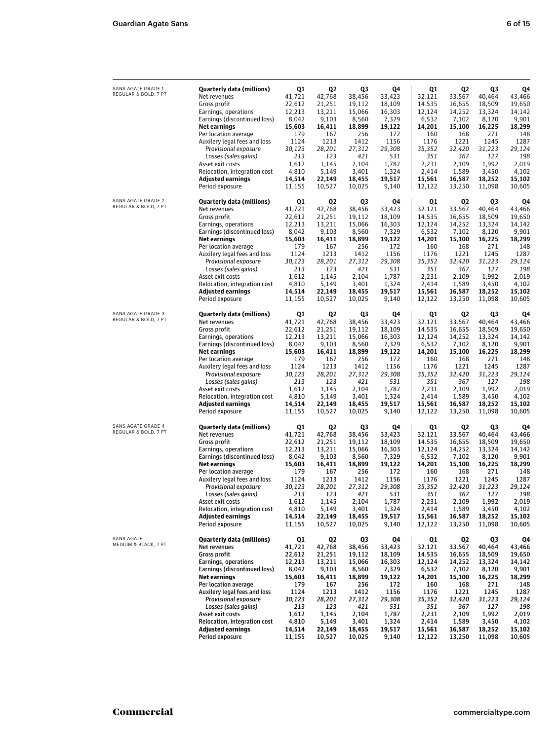| SANS AGATE GRADE 1<br>REGULAR & BOLD, 7 PT | Quarterly data (millions)<br>Net revenues<br>Gross profit   | Q1<br>41.721<br>22,612 | Q2<br>42,768<br>21,251 | Q3<br>38,456<br>19,112 | Q4<br>33,423<br>18,109 | Q1<br>32.121<br>14.535 | Q2<br>33.567<br>16,655 | Q3<br>40,464<br>18,509 | Q4<br>43,466<br>19,650 |
|--------------------------------------------|-------------------------------------------------------------|------------------------|------------------------|------------------------|------------------------|------------------------|------------------------|------------------------|------------------------|
|                                            | Earnings, operations<br>Earnings (discontinued loss)        | 12,213<br>8,042        | 13,211<br>9,103        | 15,066<br>8,560        | 16,303<br>7,329        | 12,124<br>6,532        | 14,252<br>7,102        | 13,324<br>8,120        | 14,142<br>9,901        |
|                                            | Net earnings<br>Per location average                        | 15,603<br>179          | 16,411<br>167          | 18,899<br>256          | 19,122<br>172          | 14,201<br>160          | 15,100<br>168          | 16,225<br>271          | 18,299<br>148          |
|                                            | Auxilery legal fees and loss                                | 1124                   | 1213                   | 1412                   | 1156                   | 1176                   | 1221                   | 1245                   | 1287                   |
|                                            | Provisional exposure                                        | 30,123<br>213          | 28,201<br>123          | 27,312<br>421          | 29,308<br>531          | 35,352<br>351          | 32.420<br>367          | 31,223<br>127          | 29,124<br>198          |
|                                            | Losses (sales gains)<br>Asset exit costs                    | 1,612                  | 1,145                  | 2,104                  | 1,787                  | 2,231                  | 2,109                  | 1,992                  | 2,019                  |
|                                            | Relocation, integration cost                                | 4,810                  | 5,149                  | 3,401                  | 1,324                  | 2,414                  | 1,589                  | 3,450                  | 4,102                  |
|                                            | <b>Adjusted earnings</b><br>Period exposure                 | 14,514<br>11,155       | 22,149<br>10,527       | 18,455<br>10,025       | 19,517<br>9,140        | 15,561<br>12,122       | 16,587<br>13,250       | 18,252<br>11,098       | 15,102<br>10,605       |
| SANS AGATE GRADE 2<br>REGULAR & BOLD, 7 PT | Quarterly data (millions)                                   | Q1                     | Q2<br>42,768           | Q3                     | Q4                     | Q1<br>32.121           | Q2<br>33.567           | Q3                     | Q4                     |
|                                            | Net revenues<br>Gross profit                                | 41,721<br>22,612       | 21,251                 | 38,456<br>19,112       | 33,423<br>18,109       | 14.535                 | 16,655                 | 40,464<br>18,509       | 43,466<br>19,650       |
|                                            | Earnings, operations                                        | 12,213                 | 13,211                 | 15,066                 | 16,303                 | 12,124                 | 14,252                 | 13,324                 | 14,142                 |
|                                            | Earnings (discontinued loss)<br>Net earnings                | 8,042<br>15,603        | 9,103<br>16,411        | 8,560<br>18,899        | 7,329<br>19,122        | 6,532<br>14,201        | 7,102<br>15,100        | 8,120<br>16,225        | 9,901<br>18,299        |
|                                            | Per location average                                        | 179                    | 167                    | 256                    | 172                    | 160                    | 168                    | 271                    | 148                    |
|                                            | Auxilery legal fees and loss<br>Provisional exposure        | 1124<br>30,123         | 1213<br>28,201         | 1412<br>27,312         | 1156<br>29,308         | 1176<br>35,352         | 1221<br>32,420         | 1245<br>31,223         | 1287<br>29,124         |
|                                            | Losses (sales gains)                                        | 213                    | 123                    | 421                    | 531                    | 351                    | 367                    | 127                    | 198                    |
|                                            | Asset exit costs                                            | 1,612                  | 1,145                  | 2,104                  | 1,787                  | 2,231                  | 2,109                  | 1,992                  | 2,019                  |
|                                            | Relocation, integration cost<br><b>Adjusted earnings</b>    | 4,810<br>14.514        | 5,149<br>22,149        | 3,401<br>18,455        | 1,324<br>19.517        | 2,414<br>15,561        | 1,589<br>16,587        | 3,450<br>18,252        | 4,102<br>15,102        |
|                                            | Period exposure                                             | 11,155                 | 10,527                 | 10,025                 | 9,140                  | 12,122                 | 13,250                 | 11,098                 | 10,605                 |
| SANS AGATE GRADE 3<br>REGULAR & BOLD, 7 PT | Quarterly data (millions)                                   | Q1                     | Q2                     | Q3                     | Q4                     | Q1                     | Q2                     | Q3                     | Q4                     |
|                                            | Net revenues<br>Gross profit                                | 41,721<br>22,612       | 42,768<br>21,251       | 38,456<br>19,112       | 33,423<br>18,109       | 32.121<br>14.535       | 33.567<br>16,655       | 40,464<br>18,509       | 43,466<br>19,650       |
|                                            | Earnings, operations                                        | 12,213                 | 13,211                 | 15,066                 | 16,303                 | 12,124                 | 14,252                 | 13,324                 | 14,142                 |
|                                            | Earnings (discontinued loss)                                | 8,042                  | 9,103                  | 8,560                  | 7,329                  | 6,532                  | 7,102                  | 8,120                  | 9,901                  |
|                                            | Net earnings<br>Per location average                        | 15,603<br>179          | 16,411<br>167          | 18,899<br>256          | 19,122<br>172          | 14,201<br>160          | 15,100<br>168          | 16,225<br>271          | 18,299<br>148          |
|                                            | Auxilery legal fees and loss                                | 1124                   | 1213                   | 1412                   | 1156                   | 1176                   | 1221                   | 1245                   | 1287                   |
|                                            | Provisional exposure<br>Losses (sales gains)                | 30,123<br>213          | 28,201<br>123          | 27,312<br>421          | 29,308<br>531          | 35,352<br>351          | 32,420<br>367          | 31,223<br>127          | 29,124<br>198          |
|                                            | Asset exit costs                                            | 1,612                  | 1,145                  | 2,104                  | 1,787                  | 2,231                  | 2,109                  | 1,992                  | 2,019                  |
|                                            | Relocation, integration cost<br><b>Adjusted earnings</b>    | 4,810<br>14,514        | 5,149<br>22,149        | 3,401<br>18,455        | 1,324<br>19,517        | 2,414<br>15,561        | 1,589<br>16,587        | 3,450<br>18,252        | 4,102<br>15,102        |
|                                            | Period exposure                                             | 11,155                 | 10,527                 | 10,025                 | 9,140                  | 12,122                 | 13,250                 | 11,098                 | 10,605                 |
| SANS AGATE GRADE 4<br>REGULAR & BOLD, 7 PT | Quarterly data (millions)<br>Net revenues                   | Q1<br>41,721           | Q2<br>42,768           | Q3<br>38,456           | Q4<br>33,423           | Q1<br>32.121           | Q2<br>33.567           | Q3<br>40,464           | Q4<br>43,466           |
|                                            | Gross profit                                                | 22.612                 | 21,251                 | 19,112                 | 18,109                 | 14.535                 | 16,655                 | 18,509                 | 19,650                 |
|                                            | Earnings, operations                                        | 12,213                 | 13,211                 | 15,066                 | 16,303                 | 12,124                 | 14,252                 | 13,324                 | 14,142                 |
|                                            | Earnings (discontinued loss)<br><b>Net earnings</b>         | 8,042<br>15,603        | 9,103<br>16,411        | 8,560<br>18,899        | 7,329<br>19,122        | 6,532<br>14,201        | 7,102<br>15,100        | 8,120<br>16,225        | 9,901<br>18,299        |
|                                            | Per location average                                        | 179                    | 167                    | 256                    | 172                    | 160                    | 168                    | 271                    | 148                    |
|                                            | Auxilery legal fees and loss<br><b>Provisional exposure</b> | 1124<br>30,123         | 1213<br>28,201         | 1412<br>27,312         | 1156<br>29,308         | 1176<br>35,352         | 1221<br>32,420         | 1245<br>31,223         | 1287<br>29,124         |
|                                            | Losses (sales gains)                                        | 213                    | 123                    | 421                    | 531                    | 351                    | 367                    | 127                    | 198                    |
|                                            | Asset exit costs                                            | 1,612                  | 1,145                  | 2,104                  | 1,787                  | 2,231                  | 2,109                  | 1,992                  | 2,019                  |
|                                            | Relocation, integration cost<br><b>Adjusted earnings</b>    | 4,810<br>14,514        | 5,149<br>22,149        | 3,401<br>18,455        | 1,324<br>19,517        | 2,414<br>15,561        | 1,589<br>16,587        | 3,450<br>18,252        | 4,102<br>15,102        |
|                                            | Period exposure                                             | 11,155                 | 10,527                 | 10,025                 | 9,140                  | 12,122                 | 13,250                 | 11,098                 | 10,605                 |
| SANS AGATE<br>MEDIUM & BLACK, 7 PT         | <b>Quarterly data (millions)</b><br>Net revenues            | Q1                     | Q2                     | Q3                     | Q4                     | Q1                     | Q2                     | Q3                     | Q4                     |
|                                            | Gross profit                                                | 41,721<br>22,612       | 42,768<br>21,251       | 38,456<br>19,112       | 33,423<br>18,109       | 32.121<br>14.535       | 33.567<br>16,655       | 40,464<br>18,509       | 43,466<br>19,650       |
|                                            | Earnings, operations                                        | 12,213                 | 13,211                 | 15,066                 | 16,303                 | 12,124                 | 14,252                 | 13,324                 | 14,142                 |
|                                            | Earnings (discontinued loss)<br><b>Net earnings</b>         | 8,042<br>15,603        | 9,103<br>16,411        | 8,560<br>18,899        | 7,329<br>19,122        | 6,532<br>14,201        | 7,102<br>15,100        | 8,120<br>16,225        | 9,901<br>18,299        |
|                                            | Per location average                                        | 179                    | 167                    | 256                    | 172                    | 160                    | 168                    | 271                    | 148                    |
|                                            | Auxilery legal fees and loss<br><b>Provisional exposure</b> | 1124                   | 1213                   | 1412                   | 1156<br>29,308         | 1176                   | 1221                   | 1245                   | 1287                   |
|                                            | Losses (sales gains)                                        | 30,123<br>213          | 28,201<br>123          | 27,312<br>421          | 531                    | 35,352<br>351          | 32,420<br>367          | 31,223<br>127          | 29,124<br>198          |
|                                            | Asset exit costs                                            | 1,612                  | 1,145                  | 2,104                  | 1,787                  | 2,231                  | 2,109                  | 1,992                  | 2,019                  |
|                                            | Relocation, integration cost<br><b>Adjusted earnings</b>    | 4,810<br>14,514        | 5,149<br>22,149        | 3,401<br>18,455        | 1,324<br>19,517        | 2,414<br>15,561        | 1,589<br>16,587        | 3,450<br>18,252        | 4,102<br>15,102        |
|                                            | Period exposure                                             | 11,155                 | 10,527                 | 10,025                 | 9,140                  | 12,122                 | 13,250                 | 11,098                 | 10,605                 |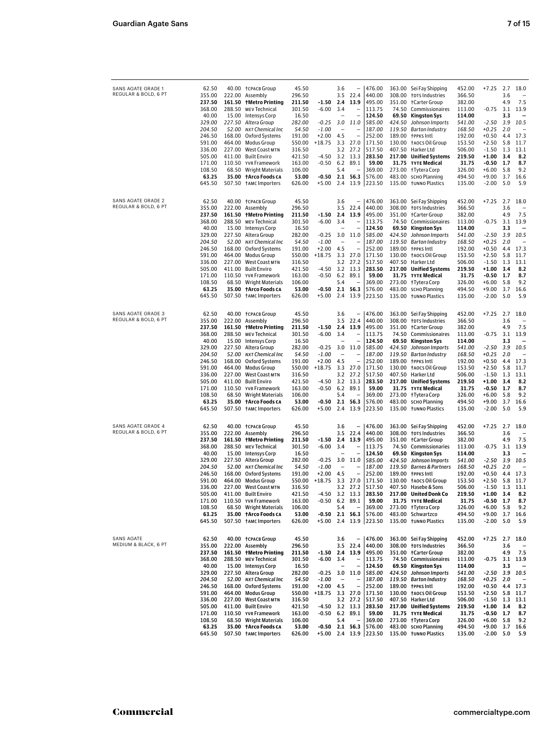| SANS AGATE GRADE 1                         | 62.50            |                 | 40.00 †CPACB Group                              | 45.50            |                                 | 3.6                      | $\overline{\phantom{0}}$ | 476.00                  |                  | 363.00 Sei Fay Shipping                     | 452.00           | $+7.25$ 2.7                   |            | 18.0         |
|--------------------------------------------|------------------|-----------------|-------------------------------------------------|------------------|---------------------------------|--------------------------|--------------------------|-------------------------|------------------|---------------------------------------------|------------------|-------------------------------|------------|--------------|
| REGULAR & BOLD, 6 PT                       | 355.00           |                 | 222.00 Assembly                                 | 296.50           |                                 | 3.5                      | 22.4                     | 440.00                  |                  | 308.00 †DTS Industries                      | 366.50           |                               | 3.6        |              |
|                                            | 237.50           |                 | 161.50 tMetro Printing                          | 211.50           | -1.50                           | 2.4                      | 13.9                     | 495.00                  | 351.00           | +Carter Group                               | 382.00           |                               | 4.9        | 7.5          |
|                                            | 368.00           |                 | 288.50 MEV Technical                            | 301.50           | $-6.00$                         | 3.4                      | $\overline{\phantom{a}}$ | 113.75                  | 74.50            | Commissionaires                             | 113.00           | $-0.75$ 3.1                   |            | 13.9         |
|                                            | 40.00            |                 | 15.00 Intensys Corp                             | 16.50            |                                 | $\overline{\phantom{0}}$ |                          | 124.50                  | 69.50            | Kingston Sys                                | 114.00           |                               | 3.3<br>3.9 | 10.5         |
|                                            | 329.00<br>204.50 | 52.00           | 227.50 Altera Group<br>NXT Chemical Inc         | 282.00<br>54.50  | $-0.25$<br>$-1.00$              | 3.0                      | 11.0                     | 585.00<br>187.00        | 424.50<br>119.50 | Johnson Imports<br>Barton Industry          | 541.00<br>168.50 | $-2.50$<br>$+0.25$            | 2.0        |              |
|                                            | 246.50           |                 | 168.00 Oxford Systems                           | 191.00           | $+2.00$                         | 4.5                      | -                        | 252.00                  | 189.00           | †PPKS Intl                                  | 192.00           | $+0.50$                       | 4.4        | 17.3         |
|                                            | 591.00           |                 | 464.00 Modus Group                              | 550.00           | $+18.75$                        | 3.3                      | 27.0                     | 171.50                  |                  | 130.00 taocs Oil Group                      | 153.50           | +2.50                         | 5.8        | 11.7         |
|                                            | 336.00           |                 | 227.00 West Coast MTN                           | 316.50           |                                 | 3.2                      | 27.2                     | 517.50                  | 407.50           | Harker Ltd                                  | 506.00           | $-1.50$                       | 1.3        | 13.1         |
|                                            | 505.00           |                 | 411.00 Built Enviro                             | 421.50           | -4.50                           | 3.2                      | 13.3                     | 283.50                  |                  | 217.00 Unified Systems                      | 219.50           | +1.00                         | 3.4        | 8.2          |
|                                            | 171.00           | 110.50          | YVR Framework                                   | 163.00           | $-0.50$                         | 6.2                      | 89.1                     | 59.00                   |                  | 31.75 TYTE Medical                          | 31.75            | $-0.50$                       | 1.7        | 8.7          |
|                                            | 108.50           | 68.50           | Wright Materials                                | 106.00           |                                 | 5.4                      |                          | 369.00                  | 273.00           | †Tytera Corp                                | 326.00           | $+6.00$                       | 5.8        | 9.2          |
|                                            | 63.25            |                 | 35.00 † Arco Foods CA                           | 53.00            | -0.50                           | 2.1                      | 56.3                     | 576.00                  |                  | 483.00 SCHO Planning                        | 494.50           | $+9.00$                       | 3.7        | 16.6         |
|                                            | 645.50           |                 | 507.50 †AMC Importers                           | 626.00           | $+5.00$                         | 2.4                      |                          | 13.9 223.50             |                  | 135.00 tunno Plastics                       | 135.00           | -2.00                         | 5.0        | 5.9          |
| SANS AGATE GRADE 2                         | 62.50            |                 | 40.00 †CPACB Group                              | 45.50            |                                 | 3.6                      | $\overline{\phantom{0}}$ | 476.00                  |                  | 363.00 Sei Fay Shipping                     | 452.00           | $+7.25$ 2.7                   |            | 18.0         |
| REGULAR & BOLD, 6 PT                       | 355.00           |                 | 222.00 Assembly                                 | 296.50           |                                 | 3.5                      | 22.4                     | 440.00                  |                  | 308.00 †DTS Industries                      | 366.50           |                               | 3.6        |              |
|                                            | 237.50           |                 | 161.50 tMetro Printing                          | 211.50           | -1.50                           | 2.4                      | 13.9                     | 495.00                  | 351.00           | †Carter Group                               | 382.00           |                               | 4.9        | 7.5          |
|                                            | 368.00           |                 | 288.50 MEV Technical                            | 301.50           | $-6.00$                         | 3.4                      |                          | 113.75                  | 74.50            | Commissionaires                             | 113.00           | $-0.75$ 3.1                   |            | 13.9         |
|                                            | 40.00            |                 | 15.00 Intensys Corp                             | 16.50            |                                 | $\overline{\phantom{a}}$ |                          | 124.50                  |                  | 69.50 Kingston Sys                          | 114.00           |                               | 3.3        |              |
|                                            | 329.00           |                 | 227.50 Altera Group                             | 282.00           | $-0.25$                         | 3.0                      | 11.0                     | 585.00                  | 424.50           | Johnson Imports                             | 541.00           | $-2.50$                       | 3.9        | 10.5         |
|                                            | 204.50           | 52.00           | NXT Chemical Inc                                | 54.50            | -1.00                           |                          |                          | 187.00                  | 119.50           | <b>Barton Industry</b>                      | 168.50           | +0.25                         | 2.0        |              |
|                                            | 246.50           |                 | 168.00 Oxford Systems                           | 191.00           | $+2.00$                         | 4.5                      | $\overline{\phantom{0}}$ | 252.00                  | 189.00           | †PPKS Intl                                  | 192.00           | $+0.50$                       | 4.4        | 17.3         |
|                                            | 591.00           | 464.00          | <b>Modus Group</b>                              | 550.00           | $+18.75$                        | 3.3                      | 27.0                     | 171.50                  |                  | 130.00 taocs Oil Group                      | 153.50           | $+2.50$                       | 5.8        | 11.7         |
|                                            | 336.00           |                 | 227.00 West Coast MTN                           | 316.50           |                                 | 3.2                      | 27.2                     | 517.50                  | 407.50           | Harker Ltd                                  | 506.00           | $-1.50$                       | 1.3        | 13.1         |
|                                            | 505.00           |                 | 411.00 Built Enviro                             | 421.50           | -4.50                           | 3.2                      | 13.3                     | 283.50                  |                  | 217.00 Unified Systems                      | 219.50           | +1.00                         | - 3.4      | 8.2          |
|                                            | 171.00           | 110.50<br>68.50 | YVR Framework                                   | 163.00           | $-0.50$                         | 6.2                      | 89.1<br>-                | 59.00                   |                  | 31.75 TYTE Medical                          | 31.75            | -0.50                         | 1.7        | 8.7          |
|                                            | 108.50<br>63.25  | 35.00           | Wright Materials<br>†Arco Foods ca              | 106.00<br>53.00  | -0.50                           | 5.4<br>2.1               | 56.3                     | 369.00<br>576.00        | 273.00           | †Tytera Corp<br>483.00 SCHO Planning        | 326.00<br>494.50 | $+6.00$<br>+9.00              | 5.8<br>3.7 | 9.2<br>16.6  |
|                                            | 645.50           |                 | 507.50 †AMC Importers                           | 626.00           | $+5.00$                         | 2.4                      | 13.9                     | 223.50                  |                  | 135.00 tunno Plastics                       | 135.00           | $-2.00$ 5.0                   |            | 5.9          |
|                                            |                  |                 |                                                 |                  |                                 |                          |                          |                         |                  |                                             |                  |                               |            |              |
| SANS AGATE GRADE 3                         | 62.50            |                 | 40.00 †CPACB Group                              | 45.50            |                                 | 3.6                      | -                        | 476.00                  |                  | 363.00 Sei Fay Shipping                     | 452.00           | $+7.25$ 2.7                   |            | 18.0         |
| REGULAR & BOLD, 6 PT                       | 355.00           | 222.00          | Assembly                                        | 296.50           |                                 | 3.5                      | 22.4                     | 440.00                  |                  | 308.00 +DTS Industries                      | 366.50           |                               | 3.6        |              |
|                                            | 237.50           | 161.50          | †Metro Printing                                 | 211.50           | -1.50                           | 2.4                      | 13.9                     | 495.00                  | 351.00           | †Carter Group                               | 382.00           |                               | 4.9        | 7.5          |
|                                            | 368.00           |                 | 288.50 MEV Technical                            | 301.50           | $-6.00$                         | 3.4                      |                          | 113.75                  | 74.50            | Commissionaires                             | 113.00           | $-0.75$ 3.1                   |            | 13.9         |
|                                            | 40.00            |                 | 15.00 Intensys Corp                             | 16.50            |                                 |                          |                          | 124.50                  | 69.50            | Kingston Sys                                | 114.00           |                               | 3.3        |              |
|                                            | 329.00           |                 | 227.50 Altera Group                             | 282.00           | $-0.25$                         | 3.0                      | 11.0                     | 585.00                  | 424.50           | Johnson Imports                             | 541.00           | $-2.50$                       | 3.9        | 10.5         |
|                                            | 204.50           | 52.00           | NXT Chemical Inc                                | 54.50            | $-1.00$                         | $\overline{\phantom{a}}$ |                          | 187.00                  |                  | 119.50 Barton Industry                      | 168.50           | $+0.25$                       | 2.0        |              |
|                                            | 246.50           |                 | 168.00 Oxford Systems                           | 191.00           | $+2.00$                         | 4.5                      | $\overline{a}$           | 252.00                  | 189.00           | †PPкs Intl                                  | 192.00           | +0.50                         | 4.4        | 17.3         |
|                                            | 591.00<br>336.00 | 464.00          | <b>Modus Group</b><br>227.00 West Coast MTN     | 550.00<br>316.50 | $+18.75$                        | 3.3<br>3.2               | 27.0<br>27.2             | 171.50<br>517.50        |                  | 130.00 taocs Oil Group<br>407.50 Harker Ltd | 153.50<br>506.00 | $+2.50$<br>$-1.50$ 1.3        | 5.8        | 11.7<br>13.1 |
|                                            | 505.00           |                 | 411.00 Built Enviro                             | 421.50           | -4.50                           | 3.2                      | 13.3                     | 283.50                  |                  | 217.00 Unified Systems                      | 219.50           | $+1.00$                       | 3.4        | 8.2          |
|                                            | 171.00           |                 | 110.50 YVR Framework                            | 163.00           | $-0.50$                         | 6.2                      | 89.1                     | 59.00                   |                  | 31.75 TYTE Medical                          | 31.75            | $-0.50$                       | 1.7        | 8.7          |
|                                            | 108.50           | 68.50           | Wright Materials                                | 106.00           |                                 | 5.4                      | $\overline{\phantom{0}}$ | 369.00                  |                  | 273.00 +Tytera Corp                         | 326.00           | +6.00                         | 5.8        | 9.2          |
|                                            | 63.25            | 35.00           | †Arco Foods ca                                  | 53.00            | -0.50                           | 2.1                      | 56.3                     | 576.00                  |                  | 483.00 SCHO Planning                        | 494.50           | +9.00                         | 3.7        | 16.6         |
|                                            | 645.50           |                 | 507.50 †AMC Importers                           | 626.00           | $+5.00$                         | 2.4                      |                          | 13.9 223.50             |                  | 135.00 tunno Plastics                       | 135.00           | $-2.00$                       | 5.0        | 5.9          |
|                                            |                  |                 |                                                 |                  |                                 |                          |                          |                         |                  |                                             |                  |                               |            |              |
| SANS AGATE GRADE 4<br>REGULAR & BOLD, 6 PT | 62.50            |                 | 40.00 †CPACB Group                              | 45.50            |                                 | 3.6                      | $\overline{\phantom{0}}$ | 476.00                  | 363.00           | Sei Fay Shipping                            | 452.00           | $+7.25$ 2.7                   |            | 18.0         |
|                                            | 355.00<br>237.50 |                 | 222.00 Assembly                                 | 296.50           | -1.50                           | 3.5<br>2.4               | 22.4<br>13.9             | 440.00<br>495.00        | 308.00<br>351.00 | <b>†DTS Industries</b>                      | 366.50           |                               | 3.6<br>4.9 | 7.5          |
|                                            | 368.00           |                 | 161.50 + Metro Printing<br>288.50 MEV Technical | 211.50<br>301.50 | $-6.00$                         | 3.4                      | $\overline{\phantom{0}}$ | 113.75                  | 74.50            | †Carter Group<br>Commissionaries            | 382.00<br>113.00 | $-0.75$ 3.1                   |            | 13.9         |
|                                            | 40.00            |                 | 15.00 Intensys Corp                             | 16.50            |                                 | -                        | $\overline{\phantom{0}}$ | 124.50                  | 69.50            | Kingston Sys                                | 114.00           |                               | 3.3        |              |
|                                            | 329.00           | 227.50          | Altera Group                                    | 282.00           | $-0.25$                         | 3.0                      | 11.0                     | 585.00                  | 424.50           | Johnson Imports                             | 541.00           | $-2.50$                       | 3.9        | 10.5         |
|                                            | 204.50           | 52.00           | NXT Chemical Inc                                | 54.50            | $-1.00$                         |                          |                          | 187.00                  | 119.50           | <b>Barnes &amp; Partners</b>                | 168.50           | $+0.25$                       | 2.0        |              |
|                                            | 246.50           |                 | 168.00 Oxford Systems                           | 191.00           | $+2.00$                         | 4.5                      | $\overline{\phantom{0}}$ | 252.00                  | 189.00           | †PPKS Intl                                  | 192.00           | $+0.50$                       | 4.4        | 17.3         |
|                                            | 591.00           | 464.00          | <b>Modus Group</b>                              | 550.00           | $+18.75$                        | 3.3                      | 27.0                     | 171.50                  | 130.00           | <b>†AOCS Oil Group</b>                      | 153.50           | $+2.50$                       | 5.8        | 11.7         |
|                                            | 336.00           |                 | 227.00 West Coast MTN                           | 316.50           |                                 | 3.2                      | 27.2                     | 517.50                  | 407.50           | Hasebe & Sons                               | 506.00           | $-1.50$                       | 1.3        | 13.1         |
|                                            | 505.00           |                 | 411.00 Built Enviro                             | 421.50           | -4.50                           | 3.2                      | 13.3                     | 283.50                  | 217.00           | <b>United Donk Co</b>                       | 219.50           | +1.00                         | -3.4       | 8.2          |
|                                            | 171.00           |                 | 110.50 YVRFramework                             | 163.00           | -0.50                           | 6.2                      | 89.1                     | 59.00                   |                  | 31.75 TYTE Medical                          | 31./5            | -0.50 1.7                     |            | 8.7          |
|                                            | 108.50           |                 | 68.50 Wright Materials                          | 106.00           |                                 | 5.4                      |                          | 369.00                  |                  | 273.00 † Tytera Corp                        | 326.00           | $+6.00$ 5.8                   |            | 9.2          |
|                                            | 63.25<br>645.50  |                 | 35.00 † Arco Foods CA<br>507.50 †AMC Importers  | 53.00<br>626.00  | $-0.50$ 2.1 56.3<br>$+5.00$ 2.4 |                          |                          | 576.00<br>13.9 223.50   |                  | 483.00 Schwartzco<br>135.00 tunno Plastics  | 494.50<br>135.00 | +9.00 3.7 16.6<br>$-2.00$ 5.0 |            | 5.9          |
|                                            |                  |                 |                                                 |                  |                                 |                          |                          |                         |                  |                                             |                  |                               |            |              |
| SANS AGATE                                 | 62.50            |                 | 40.00 †CPACB Group                              | 45.50            |                                 | 3.6                      | $\overline{\phantom{0}}$ | 476.00                  |                  | 363.00 Sei Fay Shipping                     | 452.00           | $+7.25$ 2.7                   |            | 18.0         |
| MEDIUM & BLACK, 6 PT                       | 355.00           |                 | 222.00 Assembly                                 | 296.50           |                                 |                          | 3.5 22.4                 | 440.00                  |                  | 308.00 †DTS Industries                      | 366.50           |                               | 3.6        |              |
|                                            | 237.50           |                 | 161.50 +Metro Printing                          | 211.50           | -1.50                           | 2.4                      | 13.9                     | 495.00                  |                  | 351.00 +Carter Group                        | 382.00           |                               | 4.9        | 7.5          |
|                                            | 368.00           |                 | 288.50 MEV Technical                            | 301.50           | $-6.00$ 3.4                     |                          | $\qquad \qquad -$        | 113.75                  |                  | 74.50 Commissionaires                       | 113.00           | $-0.75$ 3.1 13.9              |            |              |
|                                            | 40.00            |                 | 15.00 Intensys Corp                             | 16.50            |                                 | $\overline{\phantom{0}}$ | $\overline{a}$           | 124.50                  |                  | 69.50 Kingston Sys                          | 114.00           |                               | 3.3        |              |
|                                            | 329.00           |                 | 227.50 Altera Group                             | 282.00           | -0.25                           |                          | $3.0$ 11.0               | 585.00                  |                  | 424.50 Johnson Imports                      | 541.00           | $-2.50$ 3.9                   |            | 10.5         |
|                                            | 204.50           |                 | 52.00 NXT Chemical Inc                          | 54.50            | $-1.00$<br>$+2.00$ 4.5          | $\overline{a}$           | $\overline{a}$           | 187.00                  |                  | 119.50 Barton Industry                      | 168.50           | +0.25 2.0<br>+0.50 4.4 17.3   |            |              |
|                                            | 246.50<br>591.00 |                 | 168.00 Oxford Systems<br>464.00 Modus Group     | 191.00<br>550.00 | +18.75 3.3 27.0                 |                          |                          | 252.00<br>171.50        |                  | 189.00 †PPKS Intl<br>130.00 taocs Oil Group | 192.00<br>153.50 | +2.50 5.8 11.7                |            |              |
|                                            | 336.00           |                 | 227.00 West Coast MTN                           | 316.50           |                                 | 3.2                      | 27.2                     | 517.50                  |                  | 407.50 Harker Ltd                           | 506.00           | $-1.50$ 1.3                   |            | 13.1         |
|                                            | 505.00           |                 | 411.00 Built Enviro                             | 421.50           | $-4.50$ 3.2                     |                          | 13.3                     | 283.50                  |                  | 217.00 Unified Systems                      | 219.50           | $+1.00$ 3.4                   |            | 8.2          |
|                                            | 171.00           |                 | 110.50 YVR Framework                            | 163.00           | $-0.50$ 6.2                     |                          | 89.1                     | 59.00                   |                  | 31.75 TYTE Medical                          | 31.75            | $-0.50$ 1.7                   |            | 8.7          |
|                                            | 108.50           |                 | 68.50 Wright Materials                          | 106.00           |                                 | 5.4                      | <sup>-</sup>             | 369.00                  |                  | 273.00 + Tytera Corp                        | 326.00           | $+6.00$ 5.8                   |            | 9.2          |
|                                            | 63.25            |                 | 35.00 † Arco Foods CA                           | 53.00            | $-0.50$ 2.1 56.3                |                          |                          | 576.00                  |                  | 483.00 SCHO Planning                        | 494.50           | +9.00 3.7 16.6                |            |              |
|                                            | 645.50           |                 | 507.50 †AMC Importers                           | 626.00           |                                 |                          |                          | $+5.00$ 2.4 13.9 223.50 |                  | 135.00 tunno Plastics                       | 135.00           | $-2.00$ 5.0                   |            | - 5.9        |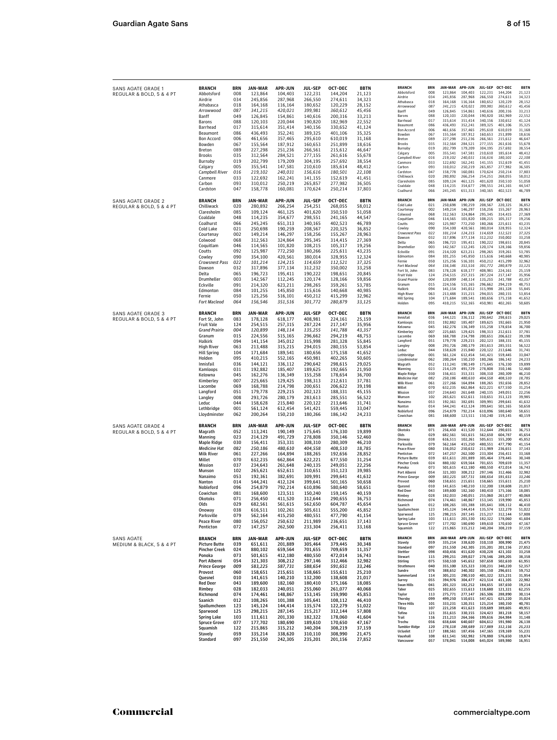| SANS AGATE GRADE 1        | <b>BRANCH</b>        | BRN        | JAN-MAR        | <b>APR-JUN</b> | JUL-SEP        | <b>OCT-DEC</b> | <b>BBTN</b> | <b>BRANCH</b>                                | <b>BRN</b>        | JAN-MAR                   | <b>APR-JUN</b>             | <b>JUL-SEP</b>            | OCT-DEC            | <b>BBTN</b>           |
|---------------------------|----------------------|------------|----------------|----------------|----------------|----------------|-------------|----------------------------------------------|-------------------|---------------------------|----------------------------|---------------------------|--------------------|-----------------------|
| REGULAR & BOLD, 5 & 4 PT  | Abbotsford           | 008        | 123,864        | 104,403        | 122,231        | 144,204        | 21,123      | Abbotsford<br>Airdrie                        | 008<br>034        | 123,864<br>245,856        | 104,403<br>287,968         | 122,231<br>266,550        | 144,204<br>274,611 | 21,123<br>34,323      |
|                           | Airdrie              | 034        | 245,856        | 287,968        | 266,550        | 274,611        | 34,323      | Athabasca                                    | 018               | 164,168                   | 116,164                    | 180,652                   | 120,229            | 28,152                |
|                           | Athabasca            | 018        | 164,168        | 116,164        | 180,652        | 120,229        | 28,152      | Arrowwood                                    | 087               | 341,215                   | 420,021                    | 399,981                   | 360,612            | 45,456                |
|                           | Arrowwood            | 087        | 341,215        | 420,021        | 399,981        | 360,612        | 45,456      | Banff                                        | 049               | 126,845                   | 154,861                    | 140,616                   | 200,316            | 33,213                |
|                           | Banff                | 049        | 126,845        | 154,861        | 140,616        | 200,316        | 33,213      | Barons                                       | 088               | 120,103                   | 220,044                    | 190,820                   | 182,969            | 22,552                |
|                           | Barons               | 088        | 120,103        | 220,044        | 190,820        | 182,969        | 22,552      | Barrhead                                     | 017               | 315,614                   | 351,414                    | 340,156                   | 330,652            | 41,124                |
|                           | Barrhead             | 017        | 315,614        | 351,414        | 340,156        | 330,652        | 41,124      | Beaumont                                     | 086               | 436,493                   | 352,241                    | 389,325                   | 401,106            | 35,325                |
|                           | Beaumont             | 086        | 436,493        | 352,241        | 389,325        | 401,106        | 35,325      | <b>Bon Accord</b><br>Bowden                  | 006<br>067        | 461,656<br>155,564        | 357,465<br>187,912         | 295,610<br>160,653        | 610,019<br>251,899 | 31,168<br>18,616      |
|                           | <b>Bon Accord</b>    | 006        | 461,656        | 357,465        | 295,610        | 610,019        | 31,168      | Breton                                       | 089               | 227,298                   | 251,236                    | 266,561                   | 215,612            | 46,647                |
|                           | Bowden               | 067        | 155,564        | 187,912        | 160,653        | 251,899        | 18,616      | <b>Brooks</b>                                | 035               | 312,564                   | 284,521                    | 277,155                   | 261,616            | 55,678                |
|                           | Breton               | 089        | 227,298        | 251,236        | 266,561        | 215,612        | 46,647      | Burnaby                                      | 019               | 202,799                   | 179,209                    | 304,195                   | 257,692            | 38,554                |
|                           | <b>Brooks</b>        | 035        | 312,564        | 284,521        | 277,155        | 261,616        | 55,678      | Calgary                                      | 005               | 355,541                   | 147,581                    | 210,610                   | 185,614            | 48,412                |
|                           | Burnaby              | 019        | 202,799        | 179,209        | 304,195        | 257,692        | 38,554      | <b>Campbell River</b>                        | 016               | 219.102                   | 240,031                    | 156,616                   | 180,501            | 22,108                |
|                           | Calgary              | 005        | 355,541        | 147,581        | 210,610        | 185,614        | 48,412      | Canmore<br>Carbon                            | 033<br>093        | 122,692<br>310,012        | 162,241<br>250,219         | 141,155<br>265,857        | 152,619<br>277,982 | 41,451<br>36,505      |
|                           | Campbell River       | 016        | 219,102        | 240,031        | 156,616        | 180,501        | 22,108      | Cardston                                     | 047               | 158,778                   | 160,081                    | 170,624                   | 250,214            | 37,803                |
|                           |                      |            | 122,692        |                |                |                |             | Chilliwack                                   | 020               | 280,892                   | 266,254                    | 254,251                   | 268,055            | 58,012                |
|                           | Canmore              | 033        |                | 162,241        | 141,155        | 152,619        | 41,451      | Claresholm                                   | 085               | 109,124                   | 461,125                    | 401,620                   | 350,510            | 51,058                |
|                           | Carbon               | 093<br>047 | 310,012        | 250,219        | 265,857        | 277,982        | 36,505      | Coaldale                                     | 048               | 114,235                   | 354,677                    | 298,551                   | 241,165            | 44,547                |
|                           | Cardston             |            | 158,778        | 160,081        | 170,624        | 250,214        | 37,803      | Coalhurst                                    | 066               | 245,245                   | 651,313                    | 340,165                   | 402,523            | 46,789                |
| SANS AGATE GRADE 2        | <b>BRANCH</b>        | <b>BRN</b> | JAN-MAR        | <b>APR-JUN</b> | <b>JUL-SEP</b> | OCT-DEC        | <b>BBTN</b> | <b>BRANCH</b>                                | <b>BRN</b>        | JAN-MAR                   | <b>APR-JUN</b>             | <b>JUL-SEP</b>            | OCT-DEC            | <b>BBTN</b>           |
| REGULAR & BOLD, 5 & 4 PT  | Chilliwack           | 020        | 280,892        | 266,254        | 254,251        | 268,055        | 58,012      | Cold Lake                                    | 021               | 250,698                   | 190,259                    | 208,567                   | 220,325            | 36,852                |
|                           | Claresholm           | 085        | 109,124        | 461,125        | 401,620        | 350,510        | 51,058      | Courtenay                                    | 002               | 149,214                   | 146,297                    | 158,256                   | 155,267            | 28,963                |
|                           | Coaldale             | 048        | 114,235        | 354,677        | 298,551        | 241,165        | 44,547      | Colwood                                      | 068               | 312,563                   | 324,864                    | 295,345                   | 314,415            | 27,369                |
|                           |                      | 066        |                |                |                |                |             | Coquitlam                                    | 046               | 114,565                   | 101,820                    | 108,215                   | 105,317            | 19,256                |
|                           | Coalhurst            |            | 245,245        | 651,313        | 340,165        | 402,523        | 46,789      | Coutts<br>Cowley                             | 092<br>090        | 125,987<br>354,100        | 772,250<br>420,561         | 180,266<br>380,014        | 225,611<br>328,955 | 43,235                |
|                           | Cold Lake            | 021        | 250,698        | 190,259        | 208,567        | 220,325        | 36,852      | Crowsnest Pass                               | 022               | 101,214                   | 124,215                    | 114,659                   | 112,521            | 12,324<br>37,325      |
|                           | Courtenay            | 002        | 149,214        | 146,297        | 158,256        | 155,267        | 28,963      | Dawson                                       | 032               | 317,896                   | 377,134                    | 312,232                   | 350,002            | 33,258                |
|                           | Colwood              | 068        | 312,563        | 324,864        | 295,345        | 314,415        | 27,369      | Delta                                        | 065               | 196,723                   | 195,411                    | 190,222                   | 198,651            | 20,845                |
|                           | Coquitlam            | 046        | 114,565        | 101,820        | 108,215        | 105,317        | 19,256      | Drumheller                                   | 003               | 142,567                   | 112,245                    | 120,174                   | 128,166            | 59,856                |
|                           | Coutts               | 092        | 125,987        | 772,250        | 180,266        | 225,611        | 43,235      | Eckville                                     | 091               | 214,320                   | 623,211                    | 298,265                   | 359,261            | 53,785                |
|                           | Cowley               | 090        | 354,100        | 420,561        | 380,014        | 328,955        | 12,324      | Edmonton                                     | 084               | 101,255                   | 145,850                    | 115,616                   | 140,668            | 40,985                |
|                           | Crowsnest Pass       | 022        | 101,214        | 124,215        | 114,659        | 112,521        | 37,325      | Fernie                                       | 050<br>064        | 125,256                   | 516,101                    | 450,212                   | 415,299            | 32,962                |
|                           | Dawson               | 032        | 317,896        | 377,134        | 312,232        | 350,002        | 33,258      | <b>Fort Macleod</b><br>Fort St, John         | 083               | 156,546<br>178,128        | 351,516<br>618,177         | 301,772<br>408,981        | 280,879<br>224,161 | 33,125<br>25,159      |
|                           | Delta                | 065        | 196,723        | 195,411        | 190,222        | 198,651        | 20,845      | Fruit Vale                                   | 124               | 254,515                   | 257,315                    | 287,224                   | 217,147            | 35,956                |
|                           | Drumheller           | 003        | 142,567        | 112,245        | 120,174        | 128,166        | 59,856      | <b>Grand Prairie</b>                         | 004               | 120,899                   | 148,114                    | 135,255                   | 141,788            | 43,357                |
|                           | Eckville             | 091        | 214,320        | 623,211        | 298,265        | 359,261        | 53,785      | Granum                                       | 015               | 224,556                   | 515,165                    | 296,662                   | 294,219            | 48,753                |
|                           | Edmonton             | 084        | 101,255        | 145,850        | 115,616        | 140,668        | 40,985      | Halkirk                                      | 094               | 141,154                   | 345,012                    | 315,998                   | 281,328            | 55,845                |
|                           | Fernie               | 050        | 125,256        | 516,101        | 450,212        | 415,299        | 32,962      | <b>High River</b>                            | 063               | 213,488                   | 315,215                    | 294.015                   | 280,155            | 53,854                |
|                           | <b>Fort Macleod</b>  | 064        | 156,546        | 351,516        | 301,772        | 280,879        | 33,125      | <b>Hill Spring</b><br>Holden                 | 104<br>095        | 171,684<br>410,215        | 189,541<br>552,165         | 180,656<br>450,981        | 175,158<br>402,265 | 41,652<br>50,605      |
|                           |                      |            |                |                |                |                |             |                                              |                   |                           |                            |                           |                    |                       |
| <b>SANS AGATE GRADE 3</b> | <b>BRANCH</b>        | <b>BRN</b> | JAN-MAR        | <b>APR-JUN</b> | <b>JUL-SEP</b> | OCT-DEC        | <b>BBTN</b> | <b>BRANCH</b>                                | <b>BRN</b>        | JAN-MAR                   | APR-JUN                    | <b>JUL-SEP</b>            | OCT-DEC            | <b>BBTN</b>           |
| REGULAR & BOLD, 5 & 4 PT  | Fort St, John        | 083        | 178,128        | 618,177        | 408,981        | 224,161        | 25,159      | Innisfail                                    | 036               | 144,121                   | 336.112                    | 290.642                   | 298.615            | 29,025                |
|                           | Fruit Vale           | 124        | 254,515        | 257,315        | 287,224        | 217,147        | 35,956      | Kamloops<br>Kelowna                          | 031<br>045        | 192,882<br>162,276        | 185,407<br>136,349         | 189,625<br>155,258        | 192,665<br>178,654 | 21,950<br>36,700      |
|                           | <b>Grand Prairie</b> | 004        | 120,899        | 148,114        | 135,255        | 141,788        | 43,357      | Kimberley                                    | 007               | 225.665                   | 129.425                    | 198,313                   | 212,611            | 37,781                |
|                           | Granum               | 015        | 224,556        | 515,165        | 296,662        | 294,219        | 48,753      | Lacombe                                      | 069               | 168,788                   | 214,798                    | 200,651                   | 206,622            | 39,198                |
|                           | Halkirk              | 094        | 141,154        | 345,012        | 315,998        | 281,328        | 55,845      | Langford                                     | 051               | 179,778                   | 229,215                    | 202,123                   | 188,331            | 45,155                |
|                           | <b>High River</b>    | 063        | 213,488        | 315,215        | 294,015        | 280,155        | 53,854      | Langley                                      | 008               | 293.726                   | 280,179                    | 283,613                   | 285,551            | 56,522                |
|                           | <b>Hill Spring</b>   | 104        | 171,684        | 189,541        | 180,656        | 175,158        | 41,652      | Leduc                                        | 044               | 158,628                   | 215,840                    | 220,122                   | 213,646            | 31,741                |
|                           | Holden               | 095        | 410,215        | 552,165        | 450,981        | 402,265        | 50,605      | Lethbridge                                   | 001               | 561,124                   | 612,454                    | 541,421                   | 559,445            | 33,047                |
|                           | Innisfail            | 036        | 144,121        | 336,112        | 290,642        | 298,615        | 29,025      | Lloydminster                                 | 062               | 200.264                   | 150,210                    | 180,266                   | 186,142            | 24,233                |
|                           |                      | 031        |                |                |                |                |             | Magrath<br>Manning                           | 052<br>023        | 113,241<br>214,129        | 190,149<br>491,729         | 175,645<br>278,808        | 176,330<br>350,146 | 19,899<br>52,460      |
|                           | Kamloops             |            | 192,882        | 185,407        | 189,625        | 192,665        | 21,950      | Maple Ridge                                  | 030               | 156.411                   | 353.331                    | 308,310                   | 280,309            | 46.210                |
|                           | Kelowna              | 045        | 162,276        | 136,349        | 155,258        | 178,654        | 36,700      | <b>Medicine Hat</b>                          | 082               | 250,186                   | 480,610                    | 404,558                   | 408,510            | 18,785                |
|                           | <b>Kimberley</b>     | 007        | 225,665        | 129,425        | 198,313        | 212,611        | 37,781      | <b>Milk River</b>                            | 061               | 227,266                   | 164,894                    | 188,265                   | 192,656            | 28,852                |
|                           | Lacombe              | 069        | 168,788        | 214,798        | 200,651        | 206,622        | 39,198      | Millet                                       | 070               | 632.235                   | 662,864                    | 622,221                   | 677,550            | 31,254                |
|                           | Langford             | 051        | 179,778        | 229,215        | 202,123        | 188,331        | 45,155      | Mission                                      | 037               | 234,643                   | 261,648                    | 240,135                   | 249,051            | 22,256                |
|                           | Langley              | 008        | 293,726        | 280,179        | 283,613        | 285,551        | 56,522      | Munson                                       | 102               | 265,621                   | 652,611                    | 310,651                   | 351,123            | 39,985                |
|                           | Leduc                | 044        | 158,628        | 215,840        | 220,122        | 213,646        | 31,741      | Nanaimo                                      | 053               | 192.361                   | 382,691                    | 309.991                   | 299,641            | 41.632                |
|                           | Lethbridge           | 001        | 561,124        | 612,454        | 541,421        | 559,445        | 33,047      | Nanton<br>Nobleford                          | 014<br>096        | 544,241<br>254,879        | 412,124<br>792,214         | 399,641<br>610,896        | 501,165<br>580,640 | 50,658<br>58,651      |
|                           | Lloydminster         | 062        | 200,264        | 150,210        | 180,266        | 186,142        | 24,233      | Cowichan                                     | 081               | 168,600                   | 123,511                    | 150,240                   | 159.145            | 40,159                |
|                           |                      |            |                |                |                |                |             |                                              |                   |                           |                            |                           |                    |                       |
| SANS AGATE GRADE 4        | <b>BRANCH</b>        | BRN        | JAN-MAR        | <b>APR-JUN</b> | <b>JUL-SEP</b> | OCT-DEC        | <b>BBTN</b> | <b>BRANCH</b><br>Okotoks                     | <b>BRN</b><br>071 | <b>JAN-MAR</b><br>256,450 | APR-JUN<br>411,520         | JUL-SEP<br>312,644        | OCT-DEC<br>290,655 | <b>BBTN</b><br>36,753 |
| REGULAR & BOLD, 5 & 4 PT  | Magrath              | 052        | 113,241        | 190,149        | 175,645        | 176,330        | 19,899      | Olds                                         | 029               | 682,561                   | 561,615                    | 562,650                   | 604,787            | 45,654                |
|                           | Manning              | 023        | 214,129        | 491,729        | 278,808        | 350,146        | 52,460      | Onoway                                       | 038               | 616,511                   | 102,261                    | 505,611                   | 555,200            | 45,852                |
|                           | Maple Ridge          | 030        | 156,411        | 353,331        | 308,310        | 280,309        | 46,210      | Parksville                                   | 079               | 562,164                   | 415,250                    | 480,551                   | 477,790            | 41,154                |
|                           | <b>Medicine Hat</b>  | 082        | 250,186        | 480,610        | 404,558        | 408,510        | 18,785      | <b>Peace River</b>                           | 080               | 156,052                   | 250,632                    | 211,989                   | 236,651            | 37,143                |
|                           | <b>Milk River</b>    | 061        | 227,266        | 164,894        | 188,265        | 192,656        | 28,852      | Penticton                                    | 072               | 147.257                   | 262,500                    | 233.304                   | 256,411            | 33,168                |
|                           | Millet               | 070        | 632,235        | 662,864        | 622,221        | 677,550        | 31,254      | <b>Picture Butte</b><br><b>Pincher Creek</b> | 039<br>024        | 651,611<br>880,102        | 201,889<br>659,564         | 305,464<br>701,655        | 379,445<br>709,659 | 30,348<br>11,357      |
|                           | Mission              | 037        | 234,643        | 261,648        | 240,135        | 249,051        | 22,256      | Ponoka                                       | 073               | 501,615                   | 412.180                    | 480,550                   | 472,014            | 16,743                |
|                           | Munson               | 102        | 265,621        | 652,611        | 310,651        | 351,123        | 39,985      | Port Alberni                                 | 054               | 321,303                   | 308,212                    | 297,146                   | 312,466            | 32,982                |
|                           | Nanaimo              | 053        | 192,361        | 382,691        | 309,991        | 299,641        | 41,632      | <b>Prince George</b>                         | 009               | 583,225                   | 587,731                    | 588,654                   | 591,651            | 33,246                |
|                           | Nanton               | 014        | 544,241        | 412,124        | 399,641        | 501,165        | 50,658      | Provost                                      | 060               | 158,651                   | 215.651                    | 158,665                   | 155.611            | 25,210                |
|                           | Nobleford            | 096        | 254,879        | 792,214        | 610,896        | 580,640        | 58,651      | Quesnel<br><b>Red Deer</b>                   | 010<br>043        | 141,615<br>189,600        | 140,210<br>182,160         | 132,200<br>180,410        | 138,608<br>175,166 | 21,017<br>18,085      |
|                           | Cowichan             | 081        | 168,600        | 123,511        | 150,240        | 159,145        | 40,159      | Rimbey                                       | 028               | 182,033                   | 240.051                    | 255,060                   | 261,077            | 40,068                |
|                           | Okotoks              | 071        | 256,450        | 411,520        | 312,644        | 290,655        | 36.753      |                                              |                   |                           |                            | 155,145                   | เวษ,ษยน            | 45,853                |
|                           | Olds                 | 029        | 682,561        | 561,615        | 562,650        | 604,787        | 45,654      | Saanich                                      | 012               | 108,265                   | 101,388                    | 105,641                   | 108,112            | 46,410                |
|                           | Onoway               | 038        | 616,511        | 102,261        | 505,611        | 555,200        | 45,852      | Spallumcheen                                 | 123               | 145,124                   | 144,414                    | 135.574                   | 122,279            | 51,022                |
|                           | Parksville           | 079        | 562,164        | 415,250        | 480,551        | 477,790        | 41,154      | Sparwood                                     | 125               | 298,215                   | 287,145                    | 215,217                   | 312,144            | 57,808                |
|                           | <b>Peace River</b>   | 080        | 156,052        | 250,632        | 211,989        | 236,651        | 37,143      | <b>Spring Lake</b><br><b>Spruce Grove</b>    | 103<br>077        | 111,611<br>177,702        | 201,330<br>180,690         | 182,322<br>189,610        | 178,060<br>170,650 | 41,604<br>47,167      |
|                           | Penticton            | 072        | 147,257        | 262,500        | 233,304        | 256,411        | 33,168      | Squamish                                     | 122               | 215,865                   | 315,212                    | 340,204                   | 308,219            | 37,159                |
|                           |                      |            |                |                |                |                |             |                                              |                   |                           |                            |                           |                    |                       |
| <b>SANS AGATE</b>         | <b>BRANCH</b>        | <b>BRN</b> | <b>JAN-MAR</b> | <b>APR-JUN</b> | <b>JUL-SEP</b> | OCT-DEC        | <b>BBTN</b> | <b>BRANCH</b><br>Stavely                     | <b>BRN</b><br>059 | 335,214                   | JAN-MAR APR-JUN<br>338,620 | <b>JUL-SEP</b><br>310,110 | OCT-DEC<br>308,990 | <b>BBTN</b><br>21,475 |
| MEDIUM & BLACK, 5 & 4 PT  | <b>Picture Butte</b> | 039        | 651.611        | 201,889        | 305,464        | 379.445        | 30,348      | Standard                                     | 097               | 251.550                   | 242.305                    | 235,201                   | 201,156            | 27,852                |
|                           | <b>Pincher Creek</b> | 024        | 880,102        | 659,564        | 701,655        | 709.659        | 11,357      | Stettler                                     | 098               | 450,456                   | 451,620                    | 430,228                   | 421,102            | 33,258                |
|                           | Ponoka               | 073        | 501,615        | 412,180        | 480,550        | 472,014        | 16,743      | Stewart                                      | 115               | 299,251                   | 289,027                    | 278,546                   | 289,205            | 38,358                |
|                           | Port Alberni         | 054        | 321,303        | 308,212        | 297,146        | 312,466        | 32,982      | Stirling                                     | 075               | 550,510                   | 545,652                    | 507,658                   | 502,610            | 61,951                |
|                           | <b>Prince George</b> | 009        | 583,225        | 587,731        | 588,654        | 591,651        | 33,246      | Strathmore                                   | 040               | 355,100                   | 325,323                    | 330,231                   | 340,220            | 52,357                |
|                           | Provost              | 060        | 158,651        | 215,651        | 158,665        | 155,611        | 25,210      | Sundre<br>Summerland                         | 076<br>114        | 388,652<br>305.231        | 340,302<br>290,510         | 305,150<br>401,322        | 296,651<br>325,231 | 59,752<br>31,954      |
|                           | Quesnel              | 010        | 141,615        | 140,210        | 132,200        | 138,608        | 21,017      | Surrey                                       | 055               | 394,976                   | 304,477                    | 423,514                   | 411,105            | 22,982                |
|                           | <b>Red Deer</b>      | 043        | 189.600        | 182,160        | 180,410        | 175,166        | 18,085      | <b>Swan Hills</b>                            | 041               | 201,323                   | 182,252                    | 184,655                   | 187,650            | 19,214                |
|                           | Rimbey               | 028        | 182,033        | 240,051        | 255,060        | 261,077        | 40,068      | Taber                                        | 025               | 102.655                   | 115,613                    | 118,680                   | 121.321            | 62,255                |
|                           | Richmond             | 074        | 174,461        | 148,867        | 153,145        | 159.990        | 45,853      | Taylor                                       | 113               | 275,771                   | 277,147                    | 265,506                   | 288,890            | 30,114                |
|                           | Saanich              | 012        | 108,265        | 101,388        | 105,641        | 108,112        | 46,410      | Thorsby<br><b>Three Hills</b>                | 099<br>101        | 499,250<br>333,231        | 510,651<br>120,351         | 547,421<br>125,214        | 625,220<br>180,350 | 35,024<br>40,781      |
|                           | Spallumcheen         | 123        | 145,124        | 144,414        | 135,574        | 122,279        | 51,022      | <b>Tilley</b>                                | 107               | 221,258                   | 451,623                    | 359,689                   | 389,605            | 49,951                |
|                           | Sparwood             | 125        | 298,215        | 287,145        | 215,217        | 312,144        | 57,808      | Tofino                                       | 121               | 351,615                   | 330,155                    | 324,423                   | 381,218            | 58,157                |
|                           | <b>Spring Lake</b>   | 103        | 111,611        | 201,330        | 182,322        | 178.060        | 41,604      | Trail                                        | 116               | 211.213                   | 264,166                    | 199,616                   | 264,984            | 31,148                |
|                           | <b>Spruce Grove</b>  | 077        | 177,702        | 180,690        | 189,610        | 170,650        | 47,167      | Trochu                                       | 056               | 658,644                   | 640,607                    | 604,612                   | 591,980            | 26,138                |
|                           | Squamish             | 122        | 215,865        | 315,212        | 340,204        | 308,219        | 37,159      | <b>Tumbler Ridge</b>                         | 120               | 278,518                   | 288,689                    | 317,889                   | 312,156            | 25,233                |
|                           | Stavely              | 059        | 335,214        | 338,620        | 310,110        | 308,990        | 21,475      | <b>Ucluelet</b>                              | 117               | 188,561                   | 187.456                    | 147.165                   | 159,169            | 55,231                |
|                           | Standard             | 097        | 251,550        | 242,305        | 235,201        | 201,156        | 27,852      | Vauxhall<br>Vancouver                        | 108<br>057        | 611,541<br>578,041        | 582,982<br>514,008         | 578,880<br>645,024        | 576,650<br>589,980 | 19,874<br>16,951      |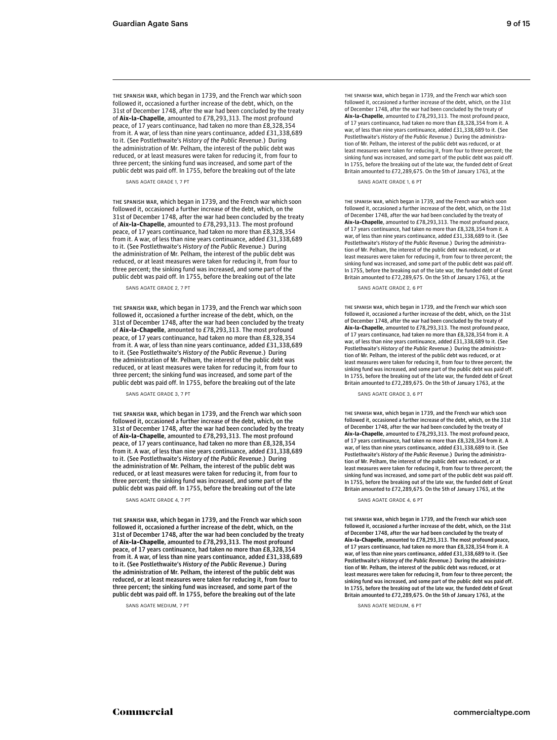THE SPANISH WAR, which began in 1739, and the French war which soon followed it, occasioned a further increase of the debt, which, on the 31st of December 1748, after the war had been concluded by the treaty of **Aix-la-Chapelle**, amounted to £78,293,313. The most profound peace, of 17 years continuance, had taken no more than £8,328,354 from it. A war, of less than nine years continuance, added £31,338,689 to it. (See Postlethwaite's History of the Public Revenue.) During the administration of Mr. Pelham, the interest of the public debt was reduced, or at least measures were taken for reducing it, from four to three percent; the sinking fund was increased, and some part of the public debt was paid off. In 1755, before the breaking out of the late

SANS AGATE GRADE 1, 7 PT SANS AGATE GRADE 1, 6 PT

THE SPANISH WAR, which began in 1739, and the French war which soon followed it, occasioned a further increase of the debt, which, on the 31st of December 1748, after the war had been concluded by the treaty of **Aix-la-Chapelle**, amounted to £78,293,313. The most profound peace, of 17 years continuance, had taken no more than £8,328,354 from it. A war, of less than nine years continuance, added £31,338,689 to it. (See Postlethwaite's History of the Public Revenue.) During the administration of Mr. Pelham, the interest of the public debt was reduced, or at least measures were taken for reducing it, from four to three percent; the sinking fund was increased, and some part of the public debt was paid off. In 1755, before the breaking out of the late

THE SPANISH WAR, which began in 1739, and the French war which soon followed it, occasioned a further increase of the debt, which, on the 31st of December 1748, after the war had been concluded by the treaty of **Aix-la-Chapelle**, amounted to £78,293,313. The most profound peace, of 17 years continuance, had taken no more than £8,328,354 from it. A war, of less than nine years continuance, added £31,338,689 to it. (See Postlethwaite's History of the Public Revenue.) During the administration of Mr. Pelham, the interest of the public debt was reduced, or at least measures were taken for reducing it, from four to three percent; the sinking fund was increased, and some part of the public debt was paid off. In 1755, before the breaking out of the late

THE SPANISH WAR, which began in 1739, and the French war which soon followed it, occasioned a further increase of the debt, which, on the 31st of December 1748, after the war had been concluded by the treaty of **Aix-la-Chapelle**, amounted to £78,293,313. The most profound peace, of 17 years continuance, had taken no more than £8,328,354 from it. A war, of less than nine years continuance, added £31,338,689 to it. (See Postlethwaite's History of the Public Revenue.) During the administration of Mr. Pelham, the interest of the public debt was reduced, or at least measures were taken for reducing it, from four to three percent; the sinking fund was increased, and some part of the public debt was paid off. In 1755, before the breaking out of the late

THE SPANISH WAR, which began in 1739, and the French war which soon followed it, occasioned a further increase of the debt, which, on the 31st of December 1748, after the war had been concluded by the treaty of **Aix-la-Chapelle**, amounted to £78,293,313. The most profound peace, of 17 years continuance, had taken no more than £8,328,354 from it. A war, of less than nine years continuance, added £31,338,689 to it. (See Postlethwaite's History of the Public Revenue.) During the administration of Mr. Pelham, the interest of the public debt was reduced, or at least measures were taken for reducing it, from four to three percent; the sinking fund was increased, and some part of the public debt was paid off. In 1755, before the breaking out of the late

SANS AGATE MEDIUM, 7 PT SANS AGATE MEDIUM, 6 PT

THE SPANISH WAR, which began in 1739, and the French war which soon followed it, occasioned a further increase of the debt, which, on the 31st of December 1748, after the war had been concluded by the treaty of **Aix-la-Chapelle**, amounted to £78,293,313. The most profound peace, of 17 years continuance, had taken no more than £8,328,354 from it. A war, of less than nine years continuance, added £31,338,689 to it. (See Postlethwaite's History of the Public Revenue.) During the administration of Mr. Pelham, the interest of the public debt was reduced, or at least measures were taken for reducing it, from four to three percent; the sinking fund was increased, and some part of the public debt was paid off. In 1755, before the breaking out of the late war, the funded debt of Great Britain amounted to £72,289,675. On the 5th of January 1763, at the

THE SPANISH WAR, which began in 1739, and the French war which soon followed it, occasioned a further increase of the debt, which, on the 31st of December 1748, after the war had been concluded by the treaty of **Aix-la-Chapelle**, amounted to £78,293,313. The most profound peace, of 17 years continuance, had taken no more than £8,328,354 from it. A war, of less than nine years continuance, added £31,338,689 to it. (See Postlethwaite's History of the Public Revenue.) During the administration of Mr. Pelham, the interest of the public debt was reduced, or at least measures were taken for reducing it, from four to three percent; the sinking fund was increased, and some part of the public debt was paid off. In 1755, before the breaking out of the late war, the funded debt of Great Britain amounted to £72,289,675. On the 5th of January 1763, at the

SANS AGATE GRADE 2, 7 PT SANS AGATE GRADE 2, 6 PT

THE SPANISH WAR, which began in 1739, and the French war which soon followed it, occasioned a further increase of the debt, which, on the 31st of December 1748, after the war had been concluded by the treaty of **Aix-la-Chapelle**, amounted to £78,293,313. The most profound peace, of 17 years continuance, had taken no more than £8,328,354 from it. A war, of less than nine years continuance, added £31,338,689 to it. (See<br>Postlethwaite's History of the Public Revenue.) During the administration of Mr. Pelham, the interest of the public debt was reduced, or at least measures were taken for reducing it, from four to three percent; the sinking fund was increased, and some part of the public debt was paid off. In 1755, before the breaking out of the late war, the funded debt of Great Britain amounted to £72,289,675. On the 5th of January 1763, at the

SANS AGATE GRADE 3. 7 PT SANS AGATE GRADE 3, 6 PT

THE SPANISH WAR, which began in 1739, and the French war which soon followed it, occasioned a further increase of the debt, which, on the 31st of December 1748, after the war had been concluded by the treaty of **Aix-la-Chapelle**, amounted to £78,293,313. The most profound peace, of 17 years continuance, had taken no more than £8,328,354 from it. A war, of less than nine years continuance, added £31,338,689 to it. (See Postlethwaite's History of the Public Revenue.) During the administra-tion of Mr. Pelham, the interest of the public debt was reduced, or at least measures were taken for reducing it, from four to three percent; the sinking fund was increased, and some part of the public debt was paid off. In 1755, before the breaking out of the late war, the funded debt of Great Britain amounted to £72,289,675. On the 5th of January 1763, at the

SANS AGATE GRADE 4, 7 PT SANS AGATE GRADE 4, 6 PT

THE SPANISH WAR, which began in 1739, and the French war which soon followed it, occasioned a further increase of the debt, which, on the 31st of December 1748, after the war had been concluded by the treaty of **Aix-la-Chapelle**, amounted to £78,293,313. The most profound peace, of 17 years continuance, had taken no more than £8,328,354 from it. A war, of less than nine years continuance, added £31,338,689 to it. (See Postlethwaite's History of the Public Revenue.) During the administration of Mr. Pelham, the interest of the public debt was reduced, or at least measures were taken for reducing it, from four to three percent; the sinking fund was increased, and some part of the public debt was paid off. In 1755, before the breaking out of the late war, the funded debt of Great Britain amounted to £72,289,675. On the 5th of January 1763, at the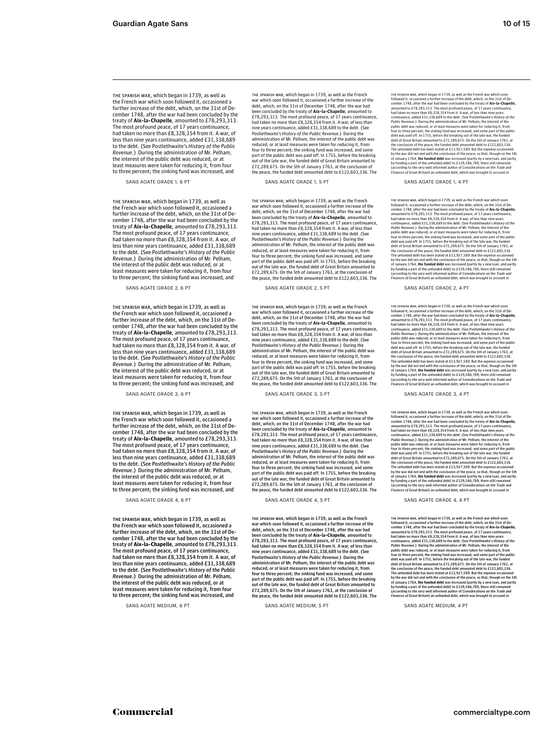THE SPANISH WAR, which began in 1739, as well as the French war which soon followed it, occasioned a further increase of the debt, which, on the 31st of December 1748, after the war had been concluded by the treaty of **Aix-la-Chapelle**, amounted to £78,293,313. The most profound peace, of 17 years continuance, had taken no more than £8,328,354 from it. A war, of less than nine years continuance, added £31,338,689 to the debt. (See Postlethwaite's History of the Public Revenue.) During the administration of Mr. Pelham, the interest of the public debt was reduced, or at least measures were taken for reducing it, from four to three percent; the sinking fund was increased, and

SANS AGATE GRADE 1, 6 PT

THE SPANISH WAR, which began in 1739, as well as the French war which soon followed it, occasioned a further increase of the debt, which, on the 31st of December 1748, after the war had been concluded by the treaty of **Aix-la-Chapelle**, amounted to £78,293,313. The most profound peace, of 17 years continuance, had taken no more than £8,328,354 from it. A war, of less than nine years continuance, added £31,338,689 to the debt. (See Postlethwaite's History of the Public Revenue.) During the administration of Mr. Pelham, the interest of the public debt was reduced, or at least measures were taken for reducing it, from four to three percent; the sinking fund was increased, and

## SANS AGATE GRADE 2, 6 PT

THE SPANISH WAR, which began in 1739, as well as the French war which soon followed it, occasioned a further increase of the debt, which, on the 31st of December 1748, after the war had been concluded by the treaty of **Aix-la-Chapelle**, amounted to £78,293,313. The most profound peace, of 17 years continuance, had taken no more than £8,328,354 from it. A war, of less than nine years continuance, added £31,338,689 to the debt. (See Postlethwaite's History of the Public Revenue.) During the administration of Mr. Pelham, the interest of the public debt was reduced, or at least measures were taken for reducing it, from four to three percent; the sinking fund was increased, and

THE SPANISH WAR, which began in 1739, as well as the French war which soon followed it, occasioned a further increase of the debt, which, on the 31st of December 1748, after the war had been concluded by the treaty of **Aix-la-Chapelle**, amounted to £78,293,313. The most profound peace, of 17 years continuance, had taken no more than £8,328,354 from it. A war, of less than nine years continuance, added £31,338,689 to the debt. (See Postlethwaite's History of the Public Revenue.) During the administration of Mr. Pelham, the interest of the public debt was reduced, or at least measures were taken for reducing it, from four to three percent; the sinking fund was increased, and

THE SPANISH WAR, which began in 1739, as well as the French war which soon followed it, occasioned a further increase of the debt, which, on the 31st of December 1748, after the war had been concluded by the treaty of **Aix-la-Chapelle**, amounted to £78,293,313. The most profound peace, of 17 years continuance, had taken no more than £8,328,354 from it. A war, of less than nine years continuance, added £31,338,689 to the debt. (See Postlethwaite's History of the Public Revenue.) During the administration of Mr. Pelham, the interest of the public debt was reduced, or at least measures were taken for reducing it, from four to three percent; the sinking fund was increased, and

### SANS AGATE MEDIUM, 6 PT SANS AGATE MEDIUM, SANS AGATE MEDIUM, SPT SANS AGATE MEDIUM, A PT

THE SPANISH WAR, which began in 1739, as well as the French war which soon followed it, occasioned a further increase of the debt, which, on the 31st of December 1748, after the war had been concluded by the treaty of **Aix-la-Chapelle**, amounted to £78,293,313. The most profound peace, of 17 years continuance, had taken no more than £8,328,354 from it. A war, of less than nine years continuance, added £31,338,689 to the debt. (See Postlethwaite's History of the Public Revenue.) During the administration of Mr. Pelham, the interest of the public debt was reduced, or at least measures were taken for reducing it, from<br>four to three percent; the sinking fund was increased, and some<br>part of the public debt was paid off. In 1755, before the breaking<br>out of the late war, the fun £72,289,675. On the 5th of January 1763, at the conclusion of the peace, the funded debt amounted debt to £122,603,336. The

## SANS AGATE GRADE 1, 5 PT

THE SPANISH WAR, which began in 1739, as well as the French war which soon followed it, occasioned a further increase of the debt, which, on the 31st of December 1748, after the war had been concluded by the treaty of **Aix-la-Chapelle**, amounted to £78,293,313. The most profound peace, of 17 years continuance, had taken no more than £8,328,354 from it. A war, of less than nine years continuance, added £31,338,689 to the debt. (See Postlethwaite's History of the Public Revenue.) During the administration of Mr. Pelham, the interest of the public debt was reduced, or at least measures were taken for reducing it, from four to three percent; the sinking fund was increased, and some part of the public debt was paid off. In 1755, before the breaking out of the late war, the funded debt of Great Britain amounted to £72,289,675. On the 5th of January 1763, at the conclusion of the peace, the funded debt amounted debt to £122,603,336. The

### SANS AGATE GRADE 2, 5 PT

THE SPANISH WAR, which began in 1739, as well as the French war which soon followed it, occasioned a further increase of the debt, which, on the 31st of December 1748, after the war had been concluded by the treaty of **Aix-la-Chapelle**, amounted to £78,293,313. The most profound peace, of 17 years continuance, had taken no more than £8,328,354 from it. A war, of less than<br>nine years continuance, added £31,338,689 to the debt. (See<br>Postlethwaite's History of the Public Revenue.) During the<br>administration of Mr. Pelham, the intere reduced, or at least measures were taken for reducing it, from four to three percent; the sinking fund was increased, and some part of the public debt was paid off. In 1755, before the breaking out of the late war, the funded debt of Great Britain amounted to £72,289,675. On the 5th of January 1763, at the conclusion of the peace, the funded debt amounted debt to £122,603,336. The

THE SPANISH WAR, which began in 1739, as well as the French war which soon followed it, occasioned a further increase of the debt, which, on the 31st of December 1748, after the war had been concluded by the treaty of **Aix-la-Chapelle**, amounted to £78,293,313. The most profound peace, of 17 years continuance, had taken no more than £8,328,354 from it. A war, of less than nine years continuance, added £31,338,689 to the debt. (See Postlethwaite's History of the Public Revenue.) During the administration of Mr. Pelham, the interest of the public debt was reduced, or at least measures were taken for reducing it, from four to three percent; the sinking fund was increased, and some part of the public debt was paid off. In 1755, before the breaking out of the late war, the funded debt of Great Britain amounted to £72,289,675. On the 5th of January 1763, at the conclusion of the peace, the funded debt amounted debt to £122,603,336. The

### SANS AGATE GRADE 4, 6 PT SANS AGATE GRADE 4, 5 PT SANS AGATE GRADE 4, 4 PT

THE SPANISH WAR, which began in 1739, as well as the French war which soon followed it, occasioned a further increase of the debt, which, on the 31st of December 1748, after the war had been concluded by the treaty of **Aix-la-Chapelle**, amounted to £78,293,313. The most profound peace, of 17 years continuance, had taken no more than £8,328,354 from it. A war, of less than nine years continuance, added £31,338,689 to the debt. (See<br>Postlethwaite's *History of the Public Revenue*.) During the<br>administration of Mr. Pelham, the interest of the public debt was<br>reduced, or at least measures were four to three percent; the sinking fund was increased, and some part of the public debt was paid off. In 1755, before the breaking out of the late war, the funded debt of Great Britain amounted to £72,289,675. On the 5th of January 1763, at the conclusion of the peace, the funded debt amounted debt to £122,603,336. The

THE SPANISW WAR, which began in 1739, as well as the French war which soon<br>followed it, occasioned a further increase of the debt, which, on the 31st of De-<br>cember 1748, after the war had been concluded by the treaty of Al Public Revenue). During the administration of Mr. Pelham, the interest of the public debt was reduced, or at least measures were taken for reducing it, from four to three percent; the sinking fund was increased, and some p by the war did not end with the conclusion of the peace; so that, though on the Sth<br>of January 1764, the funded debt was increased (partly by a new loan, and partly<br>by funding a part of the unfunded debt) to £129,586,789,

## SANS AGATE GRADE 1, 4 PT

THE SPANISH WAR, which the gan in 1739, as well as the French war which soon<br>followed it, occasioned a further increase of the debt, which, on the 31st of De-<br>cember 1748, after the war had been concluded by the teraty of the conclusion of the peace, the funded debt amounted debt to £122,603,336. The unfunded debt has been stated at £13,927,589. But the expense occasioned by the war did not end with the conclusion of the peace; so that, though on the Sth<br>of January 1764, **the funded debt** was increased (partly by a new loan, and partly<br>by funding a part of the unfunded debt) to £129,586,789

### SANS AGATE GRADE 2, 4 PT

THE SPANISH WAR, which began in 1739, as well as the French war which soon<br>followed it, occasioned a further increase of the debt, which, on the 31st of De-<br>cember 1748, after the war had been concluded by the treaty of **A** continuance, added £31,338,689 to the debt. (See Postlethwaite's History of the Public Revenue.) During the administration of Mr. Peltham, the interest of the public debt was reduced, or at least measures were taken for r by the war did not end with the conclusion of the peace; so that, though on the Sth<br>of January 1764, the funded debt was increased (partly by a new loan, and partly<br>by funding a part of the unfunded debt) to £129,586,789,

## SANS AGATE GRADE 3, 6 PT SANS AGATE GRADE 3, 5 PT SANS AGATE GRADE 3, 4 PT

THE SPANISH WAR, which began in 1739, as well as the French war which soon<br>followed it, occasioned a further increase of the debt, which, on the 31st of De-<br>cember 1748, after the war had been concluded by the treaty of AI continuance, added £31,333,689 to the debt. (See Postlethwaite's History of the Politic Revenue.) During the administration of Mr. Pelham, the interest of the public debt was reduced, or at least measures were taken for r The unfunded debt has been stated at £13,927,589. But the expense occasioned<br>by the war did not end with the conclusion of the peace; so that, though on the Sth<br>of January 1764, the funded debt was increased (partly by a n

тиє spanusu war, which began in 1739, as well as the French war which soon<br>followed it, occasioned a further increase of the debt, which, on the 31st of De-<br>cember 1748, after the war had been concluded by the treaty of A had taken no more than £8,328,354 from it. A war, of less than nine years continuance, added £31,338,689 to the debt. (See Postlethwaite's History of the *Public Revenue.*) During the administration of Mr. Pelham, the interest of the<br>public debt was reduced, or at least measures were taken for reducing it, from<br>four to three percent; the sinking fund was increased, and some debt was paid off. In 1755, before the breaking out of the late war, the funded<br>debt of Great Britain amounted to  $572,289,675$ . On the 5th of January 1763, at<br>the conclusion of the peace, the funded debt amounted debt to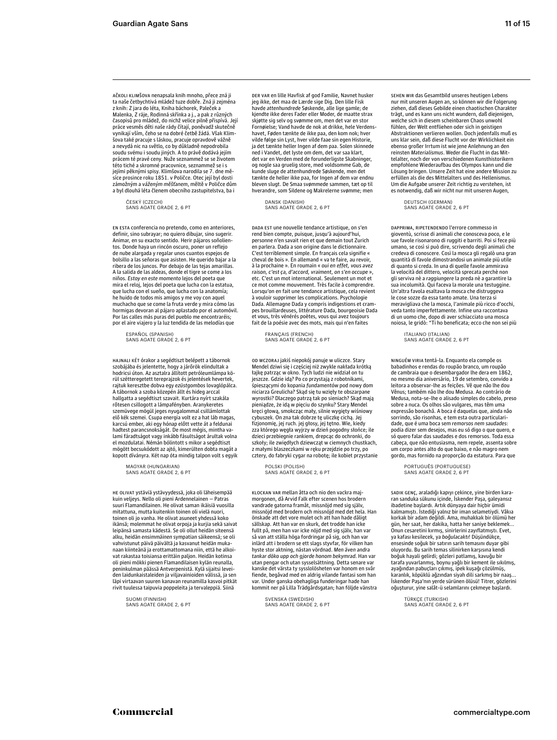oli pieni mökki pienen Flamandilaisen kylän reunalla, peninkulman päässä Antverpenistä. Kylä sijaitsi leveiden laidunkaistaleiden ja viljavainioiden välissä, ja sen läpi virtaavan suuren kanavan reunamilla kasvoi pitkät rivit tuulessa taipuvia poppeleita ja tervaleppiä. Siinä

SUOMI (FINNISH) SANS AGATE GRADE 2, 6 PT

HE OLIVAT ystäviä ystävyydessä, joka oli läheisempää kuin veljeys. Nello oli pieni Ardennelainen — Patras suuri Flamandilainen. He olivat saman ikäisiä vuosilla mitattuna, mutta kuitenkin toinen oli vielä nuori, toinen oli jo vanha. He olivat asuneet yhdessä koko ikänsä; molemmat he olivat orpoja ja kurjia sekä saivat leipänsä samasta kädestä. Se oli ollut heidän siteensä alku, heidän ensimmäinen sympatian säikeensä; se oli vahvistunut päivä päivältä ja kasvanut heidän mukanaan kiinteänä ja erottamattomana niin, että he alkoivat rakastaa toisiansa erittäin paljon. Heidän kotinsa MAGYAR (HUNGARIAN) SANS AGATE GRADE 2, 6 PT

rajtuk keresztbe dobva egy ezüstgombos lovaglópálca. A tábornok a szoba közepén állt és hideg arccal hallgatta a segédtiszt szavait. Kurtára nyírt szakála rőtesen csillogott a lámpafényben. Aranykeretes szemüvege mögül jeges nyugalommal csillámlottak elő kék szemei. Csupa energia volt ez a hat láb magas, karcsú ember, aki egy hónap előtt vette át a feldunai hadtest parancsnokságát. De most mégis, mintha va-lami fáradtságot vagy inkább fásultságot árultak volna el mozdulatai. Némán bólintott s mikor a segédtiszt mögött becsukódott az ajtó, kimerülten dobta magát a kopott díványra. Két nap óta mindig talpon volt s egyik

HAJNALI KÉT órakor a segédtiszt belépett a tábornok szobájába és jelentette, hogy a járőrök elindultak a hodricsi úton. Az asztalra állított petróleumlámpa körül szétteregetett tereprajzok és jelentések hevertek,

ESPAÑOL (SPANISH) SANS AGATE GRADE 2, 6 PT

definir, sino subrayar; no quiero dibujar, sino sugerir. Animar, en su exacto sentido. Herir pájaros soñolientos. Donde haya un rincón oscuro, poner un reflejo de nube alargada y regalar unos cuantos espejos de bolsillo a las señoras que asisten. He querido bajar a la ribera de los juncos. Por debajo de las tejas amarillas. A la salida de las aldeas, donde el tigre se come a los niños. Estoy en este momento lejos del poeta que mira el reloj, lejos del poeta que lucha con la estatua, que lucha con el sueño, que lucha con la anatomía; he huido de todos mis amigos y me voy con aquel muchacho que se come la fruta verde y mira cómo las hormigas devoran al pájaro aplastado por el automóvil. Por las calles más puras del pueblo me encontraréis; por el aire viajero y la luz tendida de las melodías que

EN ESTA conferencia no pretendo, como en anteriores,

ČESKÝ (CZECH) SANS AGATE GRADE 2, 6 PT

AČKOLI KLIMŠOVA nenapsala knih mnoho, přece zná ji ta naše četbychtivá mládež tuze dobře. Zná ji zejména z knih: Z jara do léta, Kniha báchorek, Paleček a Malenka, Z ráje, Rodinná skřínka a j., a pak z různých časopisů pro mládež, do nichž velice pilně přispívá. Její práce vesměs děti naše rády čítají, poněvadž skutečně vynikají vším, čeho se na dobré četbě žádá. Však Klimšova také pracuje s láskou, pracuje opravdově vážně a nevydá nic na světlo, co by důkladně nepodrobila soudu svému i soudu jiných. A to právě dodává jejím prácem té pravé ceny. Nuže seznammež se se životem této tiché a skromné pracovnice, seznammež se i s jejími pěknými spisy. Klimšova narodila se 7. dne měsíce prosince roku 1851. v Poličce. Otec její byl dosti zámožným a váženým měšťanem, měltě v Poličce dům a byl dlouhá léta členem obecního zastupitelstva, ba i

> KLOCKAN VAR mellan åtta och nio den vackra majmorgonen, då Arvid Falk efter scenen hos brodern vandrade gatorna framåt, missnöjd med sig själv, missnöjd med brodern och missnöjd med det hela. Han önskade att det vore mulet och att han hade dåligt sällskap. Att han var en skurk, det trodde han icke fullt på, men han var icke nöjd med sig själv, han var så van att ställa höga fordringar på sig, och han var inlärd att i brodern se ett slags styvfar, för vilken han hyste stor aktning, nästan vördnad. Men även andra tankar döko upp och gjorde honom bekymrad. Han var utan pengar och utan sysselsättning. Detta senare var kanske det värsta ty sysslolösheten var honom en svår fiende, begåvad med en aldrig vilande fantasi som han var. Under ganska obehagliga funderingar hade han kommit ner på Lilla Trädgårdsgatan; han följde vänstra

DER VAR en lille Havfisk af god Familie, Navnet husker jeg ikke, det maa de Lærde sige Dig. Den lille Fisk wde attenhundrede Søskende, alle lige gamle; de kjendte ikke deres Fader eller Moder, de maatte strax skjøtte sig selv og svømme om, men det var en stor Fornøielse; Vand havde de nok at drikke, hele Verdenshavet, Føden tænkte de ikke paa, den kom nok; hver vilde følge sin Lyst, hver vilde faae sin egen Historie, ja det tænkte heller Ingen af dem paa. Solen skinnede ned i Vandet, det lyste om dem, det var saa klart, det var en Verden med de forunderligste Skabninger, og nogle saa gruelig store, med voldsomme Gab, de kunde sluge de attenhundrede Søskende, men det tænkte de heller ikke paa, for Ingen af dem var endnu bleven slugt. De Smaa svømmede sammen, tæt op til hverandre, som Sildene og Makrelerne svømme; men

DANSK (DANISH) SANS AGATE GRADE 2, 6 PT

DADA EST une nouvelle tendance artistique, on s'en rend bien compte, puisque, jusqu'à aujourd'hui, personne n'en savait rien et que demain tout Zurich en parlera. Dada a son origine dans le dictionnaire. C'est terriblement simple. En français cela signifie « cheval de bois ». En allemand « va te faire, au revoir, à la prochaine ». En roumain « oui en effet, vous avez raison, c'est ça, d'accord, vraiment, on s'en occupe », etc. C'est un mot international. Seulement un mot et ce mot comme mouvement. Très facile à comprendre. Lorsqu'on en fait une tendance artistique, cela revient à vouloir supprimer les complications. Psychologie Dada. Allemagne Dada y compris indigestions et crampes brouillardeuses, littérature Dada, bourgeoisie Dada et vous, très vénérés poètes, vous qui avez toujours fait de la poésie avec des mots, mais qui n'en faites

OD WCZORAJ jakiś niepokój panuje w uliczce. Stary Mendel dziwi się i częściej niż zwykle nakłada krótką łajkę patrząc w okno. Tych ludzi nie widział on tu jeszcze. Gdzie idą? Po co przystają z robotnikami, śpieszącymi do kopania fundamentów pod nowy dom niciarza Greulicha? Skąd się tu wzięły te obszarpane wyrostki? Dlaczego patrzą tak po sieniach? Skąd mają pieniądze, że idą w pięciu do szynku? Stary Mendel kręci głową, smokcząc mały, silnie wygięty wiśniowy cybuszek. On zna tak dobrze tę uliczkę cichą. Jej fizjonomię, jej ruch. jej głosy, jej tętno. Wie, kiedy zza którego węgła wyjrzy w dzień pogodny słońce; ile dzieci przebiegnie rankiem, drepcąc do ochronki, do szkoły; ile zwiędłych dziewcząt w ciemnych chustkach, z małymi blaszeczkami w ręku przejdzie po trzy, po cztery, do fabryki cygar na robotę; ile kobiet przystanie

FRANÇAIS (FRENCH) SANS AGATE GRADE 2, 6 PT

SVENSKA (SWEDISH) SANS AGATE GRADE 2, 6 PT

POLSKI (POLISH) SANS AGATE GRADE 2, 6 PT

oğuşturur, yine salât-ü selamlarını çekmeye başlardı.

sadık GENÇ, araladığı kapıyı çekince, yine birden kararan sanduka sükunu icinde, İskender Pasa, galeyansız ibadetine başlardı. Artık dünyaya dair hiçbir ümidi kalmamıştı. İstediği yalnız bir iman selametiydi. Vâkıa kalındılığın istealiye yalınız bir illilmi selanleci yalı valla<br>korkak bir adam değildi. Ama, muhakkak bir ölümü her gün, her saat, her dakika, hatta her saniye beklemek...<br>Onun cesaretini kırmış, sinirlerini zayıflatmıştı. Evet, ya kafası kesilecek, ya boğulacaktı! Düşündükçe, ensesinde soğuk bir satırın sarih temasını duyar gibi oluyordu. Bu sarih temas silinirken karşısına kendi boğuk hayali gelirdi; gözleri patlamış, kavuğu bir 11 yan nayan yanı ar, yazılar parlamış, maraya an<br>tarafa yuvarlanmış, boynu yağlı bir kement ile sıkılmış, ayağından pabuçları çıkmış, ipek kuşağı çözülmüş,<br>karanlık, köpüklü ağzından siyah dili sarkmış bir naaş... İskender Paşa'nın yerde sürünen ölüsü! Titrer, gözlerini

PORTUGUÊS (PORTUGUESE) SANS AGATE GRADE 2, 6 PT

TÜRKÇE (TURKISH) SANS AGATE GRADE 2, 6 PT

NINGUÉM VIRIA tentá-la. Enquanto ela compõe os babadinhos e rendas do roupão branco, um roupão de cambraia que o desembargador lhe dera em 1862, no mesmo dia aniversário, 19 de setembro, convido a leitora a observar-lhe as feições. Vê que não lhe dou Vênus; também não lhe dou Medusa. Ao contrário de Medusa, nota-se-lhe o alisado simples do cabelo, preso sobre a nuca. Os olhos são vulgares, mas têm uma expressão bonachã. A boca é daquelas que, ainda não sorrindo, são risonhas, e tem esta outra particularidade, que é uma boca sem remorsos nem saudades: podia dizer sem desejos, mas eu só digo o que quero, e só quero falar das saudades e dos remorsos. Toda essa cabeça, que não entusiasma, nem repele, assenta sobre um corpo antes alto do que baixo, e não magro nem gordo, mas fornido na proporção da estatura. Para que

ITALIANO (ITALIAN) SANS AGATE GRADE 2, 6 PT

DAPPRIMA, RIPETENDENDO l'errore commesso in gioventù, scrisse di animali che conosceva poco, e le sue favole risonarono di ruggiti e barriti. Poi si fece più umano, se così si può dire, scrivendo degli animali che credeva di conoscere. Così la mosca gli regalò una gran quantità di favole dimostrandosi un animale più utile di quanto si creda. In una di quelle favole ammirava la velocità del dittero, velocità sprecata perchè non gli serviva nè a raggiungere la preda nè a garantire la sua incolumità. Qui faceva la morale una testuggine. Un'altra favola esaltava la mosca che distruggeva le cose sozze da essa tanto amate. Una terza si meravigliava che la mosca, l'animale più ricco d'occhi, veda tanto imperfettamente. Infine una raccontava di un uomo che, dopo di aver schiacciato una mosca noiosa, le gridò: "Ti ho beneficata; ecco che non sei più

DEUTSCH (GERMAN) SANS AGATE GRADE 2, 6 PT

SEHEN WIR das Gesamtbild unseres heutigen Lebens nur mit unseren Augen an, so können wir die Folgerung ziehen, daß dieses Gebilde einen chaotischen Charakter trägt, und es kann uns nicht wundern, daß diejenigen, welche sich in diesem scheinbaren Chaos unwohl fühlen, der Welt entfliehen oder sich in geistigen Abstraktionen verlieren wollen. Doch jedenfalls muß es uns klar sein, daß diese Flucht vor der Wirklichkeit ein ebenso großer Irrtum ist wie jene Anlehnung an den reinsten Materialismus. Weder die Flucht in das Mittelalter, noch der von verschiedenen Kunsthistorikern empfohlene Wiederaufbau des Olympos kann und die Lösung bringen. Unsere Zeit hat eine andere Mission zu erfüllen als die des Mittelalters und des Hellenismus. Um die Aufgabe unserer Zeit richtig zu verstehen, ist es notwendig, daß wir nicht nur mit unseren Augen,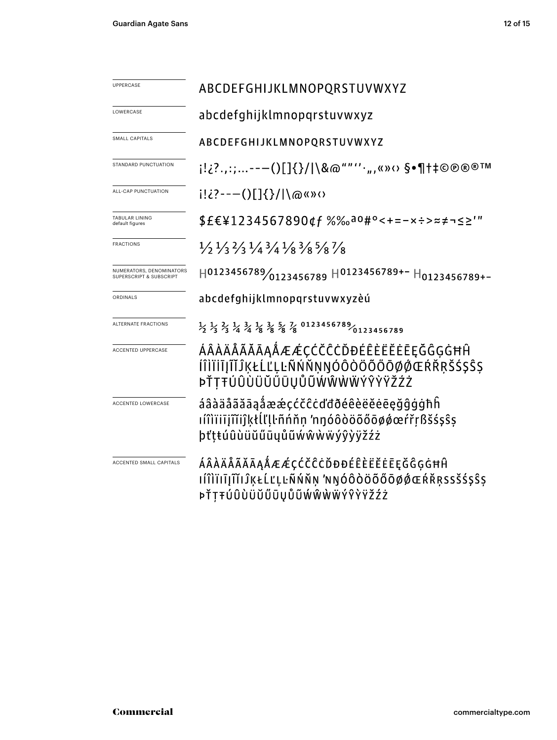| <b>UPPERCASE</b>                                    | ABCDEFGHIJKLMNOPQRSTUVWXYZ                                                                                                                             |
|-----------------------------------------------------|--------------------------------------------------------------------------------------------------------------------------------------------------------|
| LOWERCASE                                           | abcdefghijklmnopqrstuvwxyz                                                                                                                             |
| <b>SMALL CAPITALS</b>                               | ABCDEFGHIJKLMNOPQRSTUVWXYZ                                                                                                                             |
| STANDARD PUNCTUATION                                | j!¿?.,:;---()[]{}/ \&@""''·",«»<> \$•¶†‡©®®™                                                                                                           |
| ALL-CAP PUNCTUATION                                 |                                                                                                                                                        |
| TABULAR LINING<br>default figures                   | \$£€¥1234567890¢f %‰a0#°<+=-x÷>≈≠¬≤≥'"                                                                                                                 |
| <b>FRACTIONS</b>                                    | $\frac{1}{2}$ $\frac{1}{3}$ $\frac{2}{3}$ $\frac{1}{4}$ $\frac{3}{4}$ $\frac{1}{8}$ $\frac{3}{8}$ $\frac{5}{8}$ $\frac{7}{8}$                          |
| NUMERATORS, DENOMINATORS<br>SUPERSCRIPT & SUBSCRIPT | $H0123456789/0123456789$ $H0123456789+-H0123456789+-$                                                                                                  |
| ORDINALS                                            | abcdefghijklmnopqrstuvwxyzèú                                                                                                                           |
| ALTERNATE FRACTIONS                                 | $\frac{1}{2}$ $\frac{1}{3}$ $\frac{2}{3}$ $\frac{1}{4}$ $\frac{3}{4}$ $\frac{1}{8}$ $\frac{3}{8}$ $\frac{5}{8}$ $\frac{7}{8}$ 0123456789<br>0123456789 |
| <b>ACCENTED UPPERCASE</b>                           | ÁÂÀÄÅÃĂĀĄÅÆÆÇĆČĈĊĎĐÉÊÈËĔĒĘĞĜĢĠĦĤ<br>ÍÎÌÏIĪĮĨĬĴĶŁĹĽĻĿÑŃŇŅŊÓÔÒÖÕŐŌØØŒŔŘŖŠŚŞŜŞ<br>ÞŤŢŦÚÛÙÜŬŰŪŲŮŨŴŴŴŴÝŶŸŽŹŻ                                                |
| <b>ACCENTED LOWERCASE</b>                           | áâàäåãăāąåææçćčĉċďđðéêèëěēeğĝġġħĥ<br>ıíîìïiījîĭiĵķłĺľḷŀñńňn 'nŋóôòöõőōøøœŕřṛßšśşŝṣ<br>þťṭŧúûùüŭűūyůũẃŵẁẅýŷỳÿžźż                                        |
| ACCENTED SMALL CAPITALS                             | ÁÂÀÄÅÃĂĀĄÅÆÆÇĆČĈĊĎĐĐÉÊÈËËĒĘĞĜĢĠĦĤ<br>IÍÎÌÏIĪJĨĬIĴĶŁĹĽĻĿÑŃŇŅ 'nŊÓÔÒÖŐŐŌØØŒŔŘŖSSŠŚŞŜŞ<br>ÞŤŢŦÚÛÙÜŬŰŪŲŮŨŴŴŴŴÝŶŶŸŽŹŻ                                       |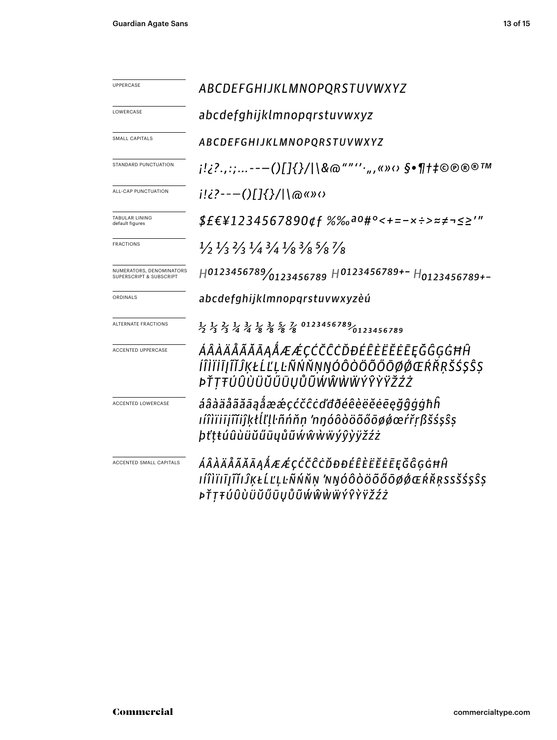| UPPERCASE                                                      | ABCDEFGHIJKLMNOPQRSTUVWXYZ                                                                                                                             |
|----------------------------------------------------------------|--------------------------------------------------------------------------------------------------------------------------------------------------------|
| LOWERCASE                                                      | abcdefghijklmnopgrstuvwxyz                                                                                                                             |
| SMALL CAPITALS                                                 | ABCDEFGHIJKLMNOPQRSTUVWXYZ                                                                                                                             |
| STANDARD PUNCTUATION                                           | j!¿?.,:;---()[]{}/ \&@""'',,,«»<> \$•¶†‡©®®™                                                                                                           |
| ALL-CAP PUNCTUATION                                            | $i!i$ ?---()[]{}/ \@«» $\circ$                                                                                                                         |
| TABULAR LINING<br>default figures                              | $$EE41234567890$ df %‰ <sup>a0#</sup> °<+=-x÷>≈≠¬≤≥'"                                                                                                  |
| <b>FRACTIONS</b>                                               | $\frac{1}{2}$ $\frac{1}{3}$ $\frac{2}{3}$ $\frac{1}{4}$ $\frac{3}{4}$ $\frac{1}{8}$ $\frac{3}{8}$ $\frac{5}{8}$ $\frac{7}{8}$                          |
| NUMERATORS, DENOMINATORS<br><b>SUPERSCRIPT &amp; SUBSCRIPT</b> | $H0123456789/0123456789$ $H0123456789+-H0123456789+-$                                                                                                  |
| ORDINALS                                                       | abcdefghijklmnopqrstuvwxyzèú                                                                                                                           |
| ALTERNATE FRACTIONS                                            | $\frac{1}{2}$ $\frac{1}{3}$ $\frac{2}{3}$ $\frac{1}{4}$ $\frac{3}{4}$ $\frac{1}{8}$ $\frac{3}{8}$ $\frac{5}{8}$ $\frac{7}{8}$ 0123456789<br>0123456789 |
| <b>ACCENTED UPPERCASE</b>                                      | ÁÂÀÄÅÃĂĀĄÅÆÆÇĆČĈĊĎĐÉÊÈËĔĒĘĞĜĢĠĦĤ<br>ÍÎÌÏİĪJĨĬĴĶŁĹĽĻĿÑŃŇŅŊÓÔÒÖÕŐŌØØŒŔŘŖŠŚŞŜŞ<br>ÞŤŢŦÚÛÙÜŬŰŨŲŮŨŴŴŴŴÝŶŸŽŹŻ                                                |
| <b>ACCENTED LOWERCASE</b>                                      | áâàäåãăāąåææçćčĉċďđðéêèëěēęğĝģġħĥ<br>ıíîìïiījĩĭiĵķłĺľḷŀñńňṇ 'nŋóôòöõőōøǿœŕřṛßšśşŝṣ<br>þťṭŧúûùüŭűūųůũẃŵẁẅýŷỳÿžźż                                        |
| ACCENTED SMALL CAPITALS                                        | ÁÂÀÄÅÃĂĀĄÅÆÆÇĆČĈĊĎĐĐÉÊÈËËĒĘĞĜĢĠĦĤ<br>ıíîìïıīįĩĭıĴĶŁĹĽĻĿÑŃŇŅ 'NŊÓÔÒÖÕŐŌØØŒŔŘŖSSŠŚŞŜŞ<br><i>»ŤŢŦÚÛÙÜŬŰŪŲŮŨŴŴŴŴÝŶŶŸŽŹŻ</i>                                |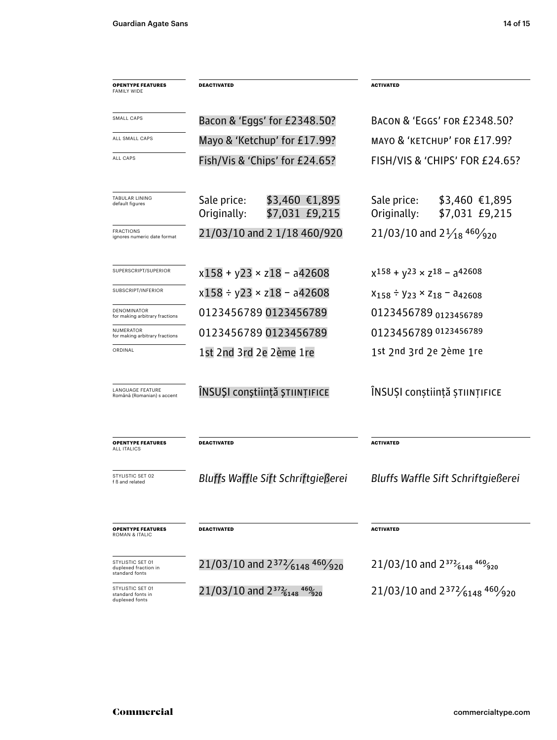| <b>OPENTYPE FEATURES</b><br><b>FAMILY WIDE</b>             | DEACTIVATED                                                               | <b>ACTIVATED</b>                                                |  |  |  |  |  |
|------------------------------------------------------------|---------------------------------------------------------------------------|-----------------------------------------------------------------|--|--|--|--|--|
| SMALL CAPS                                                 | Bacon & 'Eggs' for £2348.50?                                              | <b>BACON &amp; 'EGGS' FOR £2348.50?</b>                         |  |  |  |  |  |
| ALL SMALL CAPS                                             | Mayo & 'Ketchup' for £17.99?                                              | MAYO & 'KETCHUP' FOR £17.99?                                    |  |  |  |  |  |
| ALL CAPS                                                   | Fish/Vis & 'Chips' for £24.65?                                            | FISH/VIS & 'CHIPS' FOR £24.65?                                  |  |  |  |  |  |
| TABULAR LINING<br>default figures                          | Sale price:<br>$$3,460$ €1,895<br>\$7,031 £9,215<br>Originally:           | Sale price:<br>$$3,460$ €1,895<br>\$7,031 £9,215<br>Originally: |  |  |  |  |  |
| FRACTIONS<br>ignores numeric date format                   | 21/03/10 and 2 1/18 460/920                                               | 21/03/10 and $2\frac{1}{18}$ 460/ <sub>920</sub>                |  |  |  |  |  |
| SUPERSCRIPT/SUPERIOR                                       | $x158 + y23 \times z18 - a42608$                                          | $x^{158} + y^{23} \times z^{18} - a^{42608}$                    |  |  |  |  |  |
| SUBSCRIPT/INFERIOR                                         | $x158 \div y23 \times z18 - a42608$                                       | $X_{158}$ = $Y_{23}$ × $Z_{18}$ = $a_{42608}$                   |  |  |  |  |  |
| DENOMINATOR<br>for making arbitrary fractions              | 0123456789 0123456789                                                     | 0123456789 0123456789                                           |  |  |  |  |  |
| <b>NUMERATOR</b><br>for making arbitrary fractions         | 0123456789 0123456789                                                     | 0123456789 0123456789                                           |  |  |  |  |  |
| ORDINAL                                                    | 1st 2nd 3rd 2e 2ème 1re                                                   | 1st 2nd 3rd 2e 2ème 1re                                         |  |  |  |  |  |
| <b>LANGUAGE FEATURE</b><br>Română (Romanian) s accent      | ÎNSUȘI conștiință științifice                                             | ÎNSUȘI conștiință științifice                                   |  |  |  |  |  |
| <b>OPENTYPE FEATURES</b><br>ALL ITALICS                    | <b>DEACTIVATED</b>                                                        | <b>ACTIVATED</b>                                                |  |  |  |  |  |
| STYLISTIC SET 02<br>f ß and related                        | Bluffs Waffle Sift Schriftgießerei                                        | <b>Bluffs Waffle Sift Schriftgießerei</b>                       |  |  |  |  |  |
| <b>OPENTYPE FEATURES</b><br>ROMAN & ITALIC                 | DEACTIVATED                                                               | <b>ACTIVATED</b>                                                |  |  |  |  |  |
| STYLISTIC SET 01<br>duplexed fraction in<br>standard fonts | 21/03/10 and $2^{372}/_{6148}$ 460/920                                    | 21/03/10 and $2^{372}6148^{469}$ $^{920}$                       |  |  |  |  |  |
| STYLISTIC SET 01<br>standard fonts in<br>duplexed fonts    | 21/03/10 and $2^{37}$ <sup>2</sup> $_{6148}$ <sup>469</sup> <sub>20</sub> | 21/03/10 and $2^{372}/_{6148}$ 460/ <sub>920</sub>              |  |  |  |  |  |